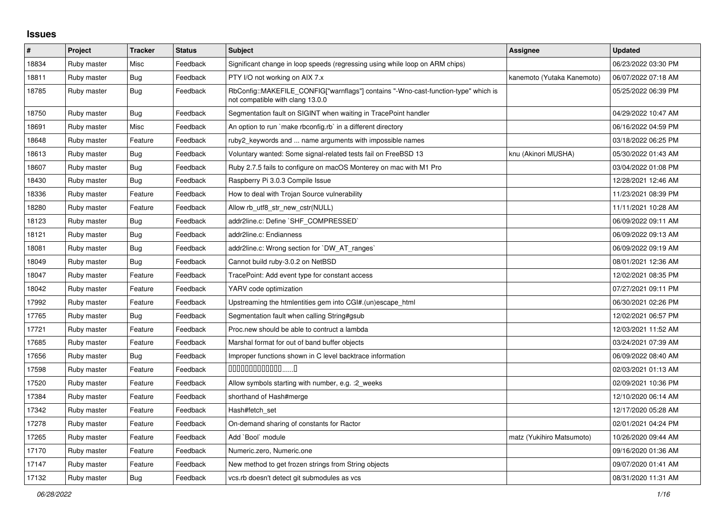## **Issues**

| #     | <b>Project</b> | <b>Tracker</b> | <b>Status</b> | <b>Subject</b>                                                                                                         | Assignee                   | <b>Updated</b>      |
|-------|----------------|----------------|---------------|------------------------------------------------------------------------------------------------------------------------|----------------------------|---------------------|
| 18834 | Ruby master    | Misc           | Feedback      | Significant change in loop speeds (regressing using while loop on ARM chips)                                           |                            | 06/23/2022 03:30 PM |
| 18811 | Ruby master    | Bug            | Feedback      | PTY I/O not working on AIX 7.x                                                                                         | kanemoto (Yutaka Kanemoto) | 06/07/2022 07:18 AM |
| 18785 | Ruby master    | Bug            | Feedback      | RbConfig::MAKEFILE CONFIG["warnflags"] contains "-Wno-cast-function-type" which is<br>not compatible with clang 13.0.0 |                            | 05/25/2022 06:39 PM |
| 18750 | Ruby master    | Bug            | Feedback      | Segmentation fault on SIGINT when waiting in TracePoint handler                                                        |                            | 04/29/2022 10:47 AM |
| 18691 | Ruby master    | Misc           | Feedback      | An option to run `make rbconfig.rb` in a different directory                                                           |                            | 06/16/2022 04:59 PM |
| 18648 | Ruby master    | Feature        | Feedback      | ruby2 keywords and  name arguments with impossible names                                                               |                            | 03/18/2022 06:25 PM |
| 18613 | Ruby master    | Bug            | Feedback      | Voluntary wanted: Some signal-related tests fail on FreeBSD 13                                                         | knu (Akinori MUSHA)        | 05/30/2022 01:43 AM |
| 18607 | Ruby master    | Bug            | Feedback      | Ruby 2.7.5 fails to configure on macOS Monterey on mac with M1 Pro                                                     |                            | 03/04/2022 01:08 PM |
| 18430 | Ruby master    | Bug            | Feedback      | Raspberry Pi 3.0.3 Compile Issue                                                                                       |                            | 12/28/2021 12:46 AM |
| 18336 | Ruby master    | Feature        | Feedback      | How to deal with Trojan Source vulnerability                                                                           |                            | 11/23/2021 08:39 PM |
| 18280 | Ruby master    | Feature        | Feedback      | Allow rb_utf8_str_new_cstr(NULL)                                                                                       |                            | 11/11/2021 10:28 AM |
| 18123 | Ruby master    | <b>Bug</b>     | Feedback      | addr2line.c: Define `SHF_COMPRESSED`                                                                                   |                            | 06/09/2022 09:11 AM |
| 18121 | Ruby master    | <b>Bug</b>     | Feedback      | addr2line.c: Endianness                                                                                                |                            | 06/09/2022 09:13 AM |
| 18081 | Ruby master    | <b>Bug</b>     | Feedback      | addr2line.c: Wrong section for `DW_AT_ranges`                                                                          |                            | 06/09/2022 09:19 AM |
| 18049 | Ruby master    | <b>Bug</b>     | Feedback      | Cannot build ruby-3.0.2 on NetBSD                                                                                      |                            | 08/01/2021 12:36 AM |
| 18047 | Ruby master    | Feature        | Feedback      | TracePoint: Add event type for constant access                                                                         |                            | 12/02/2021 08:35 PM |
| 18042 | Ruby master    | Feature        | Feedback      | YARV code optimization                                                                                                 |                            | 07/27/2021 09:11 PM |
| 17992 | Ruby master    | Feature        | Feedback      | Upstreaming the htmlentities gem into CGI#.(un)escape html                                                             |                            | 06/30/2021 02:26 PM |
| 17765 | Ruby master    | Bug            | Feedback      | Segmentation fault when calling String#gsub                                                                            |                            | 12/02/2021 06:57 PM |
| 17721 | Ruby master    | Feature        | Feedback      | Proc.new should be able to contruct a lambda                                                                           |                            | 12/03/2021 11:52 AM |
| 17685 | Ruby master    | Feature        | Feedback      | Marshal format for out of band buffer objects                                                                          |                            | 03/24/2021 07:39 AM |
| 17656 | Ruby master    | Bug            | Feedback      | Improper functions shown in C level backtrace information                                                              |                            | 06/09/2022 08:40 AM |
| 17598 | Ruby master    | Feature        | Feedback      | $0000000000000010$                                                                                                     |                            | 02/03/2021 01:13 AM |
| 17520 | Ruby master    | Feature        | Feedback      | Allow symbols starting with number, e.g. : 2_weeks                                                                     |                            | 02/09/2021 10:36 PM |
| 17384 | Ruby master    | Feature        | Feedback      | shorthand of Hash#merge                                                                                                |                            | 12/10/2020 06:14 AM |
| 17342 | Ruby master    | Feature        | Feedback      | Hash#fetch set                                                                                                         |                            | 12/17/2020 05:28 AM |
| 17278 | Ruby master    | Feature        | Feedback      | On-demand sharing of constants for Ractor                                                                              |                            | 02/01/2021 04:24 PM |
| 17265 | Ruby master    | Feature        | Feedback      | Add `Bool` module                                                                                                      | matz (Yukihiro Matsumoto)  | 10/26/2020 09:44 AM |
| 17170 | Ruby master    | Feature        | Feedback      | Numeric.zero, Numeric.one                                                                                              |                            | 09/16/2020 01:36 AM |
| 17147 | Ruby master    | Feature        | Feedback      | New method to get frozen strings from String objects                                                                   |                            | 09/07/2020 01:41 AM |
| 17132 | Ruby master    | <b>Bug</b>     | Feedback      | vcs.rb doesn't detect git submodules as vcs                                                                            |                            | 08/31/2020 11:31 AM |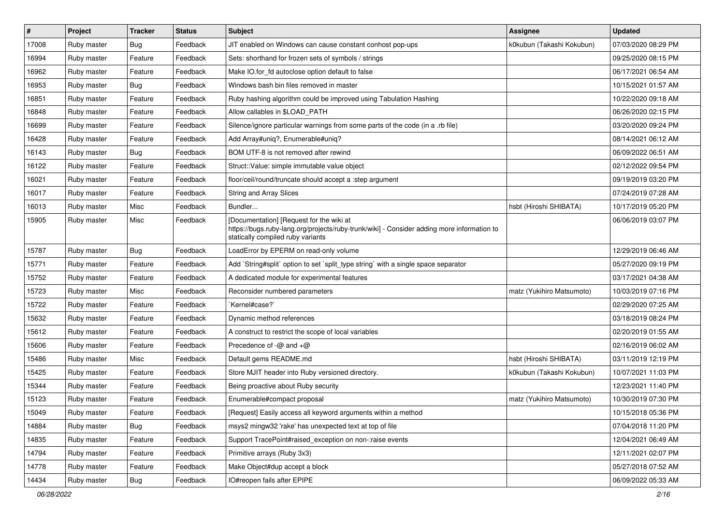| $\vert$ # | Project     | <b>Tracker</b> | <b>Status</b> | <b>Subject</b>                                                                                                                                                              | Assignee                  | <b>Updated</b>      |
|-----------|-------------|----------------|---------------|-----------------------------------------------------------------------------------------------------------------------------------------------------------------------------|---------------------------|---------------------|
| 17008     | Ruby master | Bug            | Feedback      | JIT enabled on Windows can cause constant conhost pop-ups                                                                                                                   | k0kubun (Takashi Kokubun) | 07/03/2020 08:29 PM |
| 16994     | Ruby master | Feature        | Feedback      | Sets: shorthand for frozen sets of symbols / strings                                                                                                                        |                           | 09/25/2020 08:15 PM |
| 16962     | Ruby master | Feature        | Feedback      | Make IO.for_fd autoclose option default to false                                                                                                                            |                           | 06/17/2021 06:54 AM |
| 16953     | Ruby master | Bug            | Feedback      | Windows bash bin files removed in master                                                                                                                                    |                           | 10/15/2021 01:57 AM |
| 16851     | Ruby master | Feature        | Feedback      | Ruby hashing algorithm could be improved using Tabulation Hashing                                                                                                           |                           | 10/22/2020 09:18 AM |
| 16848     | Ruby master | Feature        | Feedback      | Allow callables in \$LOAD_PATH                                                                                                                                              |                           | 06/26/2020 02:15 PM |
| 16699     | Ruby master | Feature        | Feedback      | Silence/ignore particular warnings from some parts of the code (in a .rb file)                                                                                              |                           | 03/20/2020 09:24 PM |
| 16428     | Ruby master | Feature        | Feedback      | Add Array#uniq?, Enumerable#uniq?                                                                                                                                           |                           | 08/14/2021 06:12 AM |
| 16143     | Ruby master | Bug            | Feedback      | BOM UTF-8 is not removed after rewind                                                                                                                                       |                           | 06/09/2022 06:51 AM |
| 16122     | Ruby master | Feature        | Feedback      | Struct::Value: simple immutable value object                                                                                                                                |                           | 02/12/2022 09:54 PM |
| 16021     | Ruby master | Feature        | Feedback      | floor/ceil/round/truncate should accept a :step argument                                                                                                                    |                           | 09/19/2019 03:20 PM |
| 16017     | Ruby master | Feature        | Feedback      | <b>String and Array Slices</b>                                                                                                                                              |                           | 07/24/2019 07:28 AM |
| 16013     | Ruby master | Misc           | Feedback      | Bundler                                                                                                                                                                     | hsbt (Hiroshi SHIBATA)    | 10/17/2019 05:20 PM |
| 15905     | Ruby master | Misc           | Feedback      | [Documentation] [Request for the wiki at<br>https://bugs.ruby-lang.org/projects/ruby-trunk/wiki] - Consider adding more information to<br>statically compiled ruby variants |                           | 06/06/2019 03:07 PM |
| 15787     | Ruby master | Bug            | Feedback      | LoadError by EPERM on read-only volume                                                                                                                                      |                           | 12/29/2019 06:46 AM |
| 15771     | Ruby master | Feature        | Feedback      | Add `String#split` option to set `split_type string` with a single space separator                                                                                          |                           | 05/27/2020 09:19 PM |
| 15752     | Ruby master | Feature        | Feedback      | A dedicated module for experimental features                                                                                                                                |                           | 03/17/2021 04:38 AM |
| 15723     | Ruby master | Misc           | Feedback      | Reconsider numbered parameters                                                                                                                                              | matz (Yukihiro Matsumoto) | 10/03/2019 07:16 PM |
| 15722     | Ruby master | Feature        | Feedback      | `Kernel#case?`                                                                                                                                                              |                           | 02/29/2020 07:25 AM |
| 15632     | Ruby master | Feature        | Feedback      | Dynamic method references                                                                                                                                                   |                           | 03/18/2019 08:24 PM |
| 15612     | Ruby master | Feature        | Feedback      | A construct to restrict the scope of local variables                                                                                                                        |                           | 02/20/2019 01:55 AM |
| 15606     | Ruby master | Feature        | Feedback      | Precedence of $-\omega$ and $+\omega$                                                                                                                                       |                           | 02/16/2019 06:02 AM |
| 15486     | Ruby master | Misc           | Feedback      | Default gems README.md                                                                                                                                                      | hsbt (Hiroshi SHIBATA)    | 03/11/2019 12:19 PM |
| 15425     | Ruby master | Feature        | Feedback      | Store MJIT header into Ruby versioned directory.                                                                                                                            | k0kubun (Takashi Kokubun) | 10/07/2021 11:03 PM |
| 15344     | Ruby master | Feature        | Feedback      | Being proactive about Ruby security                                                                                                                                         |                           | 12/23/2021 11:40 PM |
| 15123     | Ruby master | Feature        | Feedback      | Enumerable#compact proposal                                                                                                                                                 | matz (Yukihiro Matsumoto) | 10/30/2019 07:30 PM |
| 15049     | Ruby master | Feature        | Feedback      | [Request] Easily access all keyword arguments within a method                                                                                                               |                           | 10/15/2018 05:36 PM |
| 14884     | Ruby master | <b>Bug</b>     | Feedback      | msys2 mingw32 'rake' has unexpected text at top of file                                                                                                                     |                           | 07/04/2018 11:20 PM |
| 14835     | Ruby master | Feature        | Feedback      | Support TracePoint#raised_exception on non-:raise events                                                                                                                    |                           | 12/04/2021 06:49 AM |
| 14794     | Ruby master | Feature        | Feedback      | Primitive arrays (Ruby 3x3)                                                                                                                                                 |                           | 12/11/2021 02:07 PM |
| 14778     | Ruby master | Feature        | Feedback      | Make Object#dup accept a block                                                                                                                                              |                           | 05/27/2018 07:52 AM |
| 14434     | Ruby master | Bug            | Feedback      | IO#reopen fails after EPIPE                                                                                                                                                 |                           | 06/09/2022 05:33 AM |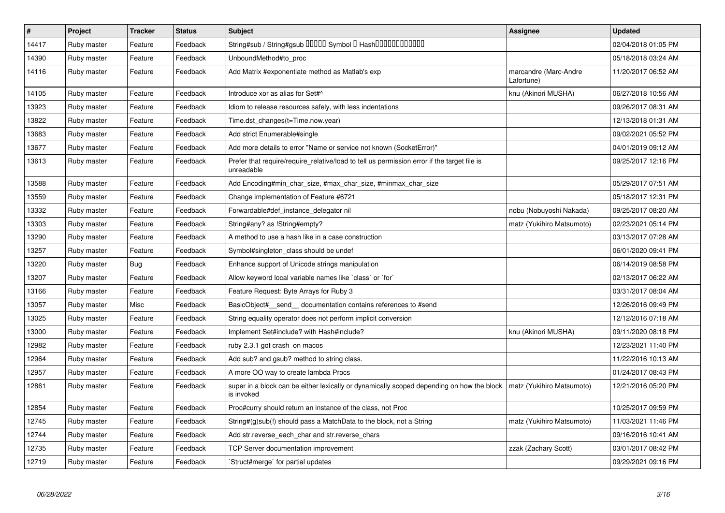| $\vert$ # | <b>Project</b> | <b>Tracker</b> | <b>Status</b> | <b>Subject</b>                                                                                            | <b>Assignee</b>                     | <b>Updated</b>      |
|-----------|----------------|----------------|---------------|-----------------------------------------------------------------------------------------------------------|-------------------------------------|---------------------|
| 14417     | Ruby master    | Feature        | Feedback      | String#sub / String#gsub 00000 Symbol 0 Hash000000000000                                                  |                                     | 02/04/2018 01:05 PM |
| 14390     | Ruby master    | Feature        | Feedback      | UnboundMethod#to_proc                                                                                     |                                     | 05/18/2018 03:24 AM |
| 14116     | Ruby master    | Feature        | Feedback      | Add Matrix #exponentiate method as Matlab's exp                                                           | marcandre (Marc-Andre<br>Lafortune) | 11/20/2017 06:52 AM |
| 14105     | Ruby master    | Feature        | Feedback      | Introduce xor as alias for Set#^                                                                          | knu (Akinori MUSHA)                 | 06/27/2018 10:56 AM |
| 13923     | Ruby master    | Feature        | Feedback      | Idiom to release resources safely, with less indentations                                                 |                                     | 09/26/2017 08:31 AM |
| 13822     | Ruby master    | Feature        | Feedback      | Time.dst_changes(t=Time.now.year)                                                                         |                                     | 12/13/2018 01:31 AM |
| 13683     | Ruby master    | Feature        | Feedback      | Add strict Enumerable#single                                                                              |                                     | 09/02/2021 05:52 PM |
| 13677     | Ruby master    | Feature        | Feedback      | Add more details to error "Name or service not known (SocketError)"                                       |                                     | 04/01/2019 09:12 AM |
| 13613     | Ruby master    | Feature        | Feedback      | Prefer that require/require_relative/load to tell us permission error if the target file is<br>unreadable |                                     | 09/25/2017 12:16 PM |
| 13588     | Ruby master    | Feature        | Feedback      | Add Encoding#min_char_size, #max_char_size, #minmax_char_size                                             |                                     | 05/29/2017 07:51 AM |
| 13559     | Ruby master    | Feature        | Feedback      | Change implementation of Feature #6721                                                                    |                                     | 05/18/2017 12:31 PM |
| 13332     | Ruby master    | Feature        | Feedback      | Forwardable#def_instance_delegator nil                                                                    | nobu (Nobuyoshi Nakada)             | 09/25/2017 08:20 AM |
| 13303     | Ruby master    | Feature        | Feedback      | String#any? as !String#empty?                                                                             | matz (Yukihiro Matsumoto)           | 02/23/2021 05:14 PM |
| 13290     | Ruby master    | Feature        | Feedback      | A method to use a hash like in a case construction                                                        |                                     | 03/13/2017 07:28 AM |
| 13257     | Ruby master    | Feature        | Feedback      | Symbol#singleton_class should be undef                                                                    |                                     | 06/01/2020 09:41 PM |
| 13220     | Ruby master    | <b>Bug</b>     | Feedback      | Enhance support of Unicode strings manipulation                                                           |                                     | 06/14/2019 08:58 PM |
| 13207     | Ruby master    | Feature        | Feedback      | Allow keyword local variable names like `class` or `for`                                                  |                                     | 02/13/2017 06:22 AM |
| 13166     | Ruby master    | Feature        | Feedback      | Feature Request: Byte Arrays for Ruby 3                                                                   |                                     | 03/31/2017 08:04 AM |
| 13057     | Ruby master    | Misc           | Feedback      | BasicObject# send documentation contains references to #send                                              |                                     | 12/26/2016 09:49 PM |
| 13025     | Ruby master    | Feature        | Feedback      | String equality operator does not perform implicit conversion                                             |                                     | 12/12/2016 07:18 AM |
| 13000     | Ruby master    | Feature        | Feedback      | Implement Set#include? with Hash#include?                                                                 | knu (Akinori MUSHA)                 | 09/11/2020 08:18 PM |
| 12982     | Ruby master    | Feature        | Feedback      | ruby 2.3.1 got crash on macos                                                                             |                                     | 12/23/2021 11:40 PM |
| 12964     | Ruby master    | Feature        | Feedback      | Add sub? and gsub? method to string class.                                                                |                                     | 11/22/2016 10:13 AM |
| 12957     | Ruby master    | Feature        | Feedback      | A more OO way to create lambda Procs                                                                      |                                     | 01/24/2017 08:43 PM |
| 12861     | Ruby master    | Feature        | Feedback      | super in a block can be either lexically or dynamically scoped depending on how the block<br>is invoked   | matz (Yukihiro Matsumoto)           | 12/21/2016 05:20 PM |
| 12854     | Ruby master    | Feature        | Feedback      | Proc#curry should return an instance of the class, not Proc                                               |                                     | 10/25/2017 09:59 PM |
| 12745     | Ruby master    | Feature        | Feedback      | String#(g)sub(!) should pass a MatchData to the block, not a String                                       | matz (Yukihiro Matsumoto)           | 11/03/2021 11:46 PM |
| 12744     | Ruby master    | Feature        | Feedback      | Add str.reverse_each_char and str.reverse_chars                                                           |                                     | 09/16/2016 10:41 AM |
| 12735     | Ruby master    | Feature        | Feedback      | <b>TCP Server documentation improvement</b>                                                               | zzak (Zachary Scott)                | 03/01/2017 08:42 PM |
| 12719     | Ruby master    | Feature        | Feedback      | Struct#merge` for partial updates                                                                         |                                     | 09/29/2021 09:16 PM |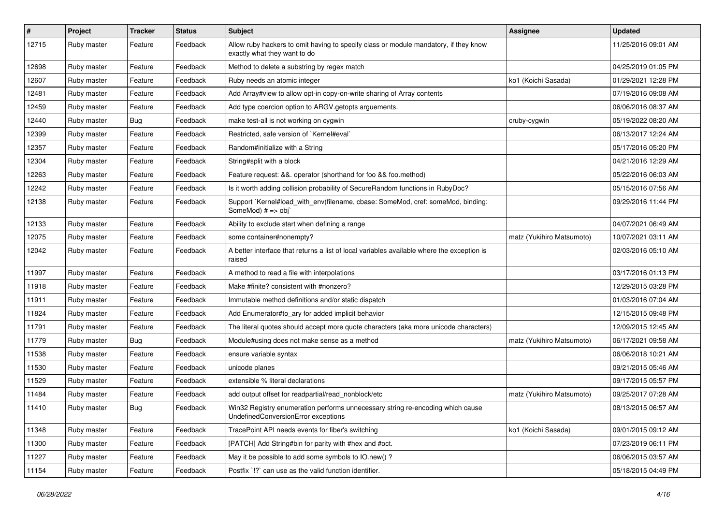| $\sharp$ | Project     | <b>Tracker</b> | <b>Status</b> | Subject                                                                                                               | Assignee                  | <b>Updated</b>      |
|----------|-------------|----------------|---------------|-----------------------------------------------------------------------------------------------------------------------|---------------------------|---------------------|
| 12715    | Ruby master | Feature        | Feedback      | Allow ruby hackers to omit having to specify class or module mandatory, if they know<br>exactly what they want to do  |                           | 11/25/2016 09:01 AM |
| 12698    | Ruby master | Feature        | Feedback      | Method to delete a substring by regex match                                                                           |                           | 04/25/2019 01:05 PM |
| 12607    | Ruby master | Feature        | Feedback      | Ruby needs an atomic integer                                                                                          | ko1 (Koichi Sasada)       | 01/29/2021 12:28 PM |
| 12481    | Ruby master | Feature        | Feedback      | Add Array#view to allow opt-in copy-on-write sharing of Array contents                                                |                           | 07/19/2016 09:08 AM |
| 12459    | Ruby master | Feature        | Feedback      | Add type coercion option to ARGV getopts arguements.                                                                  |                           | 06/06/2016 08:37 AM |
| 12440    | Ruby master | Bug            | Feedback      | make test-all is not working on cygwin                                                                                | cruby-cygwin              | 05/19/2022 08:20 AM |
| 12399    | Ruby master | Feature        | Feedback      | Restricted, safe version of `Kernel#eval`                                                                             |                           | 06/13/2017 12:24 AM |
| 12357    | Ruby master | Feature        | Feedback      | Random#initialize with a String                                                                                       |                           | 05/17/2016 05:20 PM |
| 12304    | Ruby master | Feature        | Feedback      | String#split with a block                                                                                             |                           | 04/21/2016 12:29 AM |
| 12263    | Ruby master | Feature        | Feedback      | Feature request: &&. operator (shorthand for foo && foo.method)                                                       |                           | 05/22/2016 06:03 AM |
| 12242    | Ruby master | Feature        | Feedback      | Is it worth adding collision probability of SecureRandom functions in RubyDoc?                                        |                           | 05/15/2016 07:56 AM |
| 12138    | Ruby master | Feature        | Feedback      | Support `Kernel#load_with_env(filename, cbase: SomeMod, cref: someMod, binding:<br>SomeMod) # => obj`                 |                           | 09/29/2016 11:44 PM |
| 12133    | Ruby master | Feature        | Feedback      | Ability to exclude start when defining a range                                                                        |                           | 04/07/2021 06:49 AM |
| 12075    | Ruby master | Feature        | Feedback      | some container#nonempty?                                                                                              | matz (Yukihiro Matsumoto) | 10/07/2021 03:11 AM |
| 12042    | Ruby master | Feature        | Feedback      | A better interface that returns a list of local variables available where the exception is<br>raised                  |                           | 02/03/2016 05:10 AM |
| 11997    | Ruby master | Feature        | Feedback      | A method to read a file with interpolations                                                                           |                           | 03/17/2016 01:13 PM |
| 11918    | Ruby master | Feature        | Feedback      | Make #finite? consistent with #nonzero?                                                                               |                           | 12/29/2015 03:28 PM |
| 11911    | Ruby master | Feature        | Feedback      | Immutable method definitions and/or static dispatch                                                                   |                           | 01/03/2016 07:04 AM |
| 11824    | Ruby master | Feature        | Feedback      | Add Enumerator#to_ary for added implicit behavior                                                                     |                           | 12/15/2015 09:48 PM |
| 11791    | Ruby master | Feature        | Feedback      | The literal quotes should accept more quote characters (aka more unicode characters)                                  |                           | 12/09/2015 12:45 AM |
| 11779    | Ruby master | Bug            | Feedback      | Module#using does not make sense as a method                                                                          | matz (Yukihiro Matsumoto) | 06/17/2021 09:58 AM |
| 11538    | Ruby master | Feature        | Feedback      | ensure variable syntax                                                                                                |                           | 06/06/2018 10:21 AM |
| 11530    | Ruby master | Feature        | Feedback      | unicode planes                                                                                                        |                           | 09/21/2015 05:46 AM |
| 11529    | Ruby master | Feature        | Feedback      | extensible % literal declarations                                                                                     |                           | 09/17/2015 05:57 PM |
| 11484    | Ruby master | Feature        | Feedback      | add output offset for readpartial/read_nonblock/etc                                                                   | matz (Yukihiro Matsumoto) | 09/25/2017 07:28 AM |
| 11410    | Ruby master | Bug            | Feedback      | Win32 Registry enumeration performs unnecessary string re-encoding which cause<br>UndefinedConversionError exceptions |                           | 08/13/2015 06:57 AM |
| 11348    | Ruby master | Feature        | Feedback      | TracePoint API needs events for fiber's switching                                                                     | ko1 (Koichi Sasada)       | 09/01/2015 09:12 AM |
| 11300    | Ruby master | Feature        | Feedback      | [PATCH] Add String#bin for parity with #hex and #oct.                                                                 |                           | 07/23/2019 06:11 PM |
| 11227    | Ruby master | Feature        | Feedback      | May it be possible to add some symbols to IO.new()?                                                                   |                           | 06/06/2015 03:57 AM |
| 11154    | Ruby master | Feature        | Feedback      | Postfix '!?' can use as the valid function identifier.                                                                |                           | 05/18/2015 04:49 PM |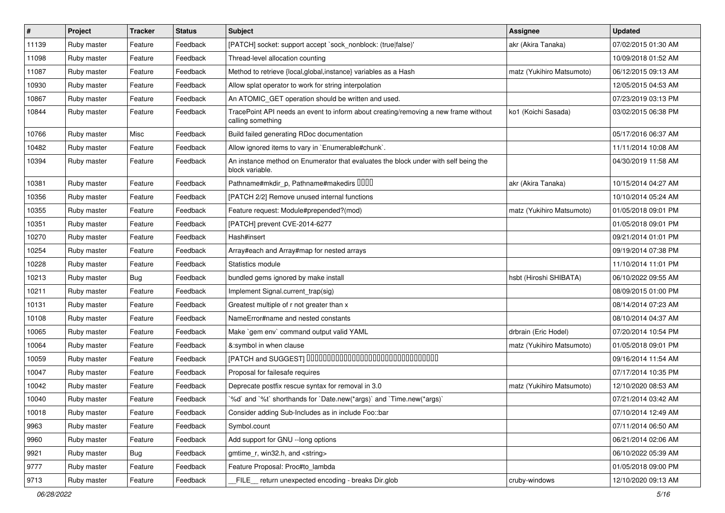| $\vert$ # | Project     | <b>Tracker</b> | <b>Status</b> | <b>Subject</b>                                                                                           | Assignee                  | <b>Updated</b>      |
|-----------|-------------|----------------|---------------|----------------------------------------------------------------------------------------------------------|---------------------------|---------------------|
| 11139     | Ruby master | Feature        | Feedback      | [PATCH] socket: support accept `sock_nonblock: (true false)'                                             | akr (Akira Tanaka)        | 07/02/2015 01:30 AM |
| 11098     | Ruby master | Feature        | Feedback      | Thread-level allocation counting                                                                         |                           | 10/09/2018 01:52 AM |
| 11087     | Ruby master | Feature        | Feedback      | Method to retrieve {local, global, instance} variables as a Hash                                         | matz (Yukihiro Matsumoto) | 06/12/2015 09:13 AM |
| 10930     | Ruby master | Feature        | Feedback      | Allow splat operator to work for string interpolation                                                    |                           | 12/05/2015 04:53 AM |
| 10867     | Ruby master | Feature        | Feedback      | An ATOMIC_GET operation should be written and used.                                                      |                           | 07/23/2019 03:13 PM |
| 10844     | Ruby master | Feature        | Feedback      | TracePoint API needs an event to inform about creating/removing a new frame without<br>calling something | ko1 (Koichi Sasada)       | 03/02/2015 06:38 PM |
| 10766     | Ruby master | Misc           | Feedback      | Build failed generating RDoc documentation                                                               |                           | 05/17/2016 06:37 AM |
| 10482     | Ruby master | Feature        | Feedback      | Allow ignored items to vary in `Enumerable#chunk`.                                                       |                           | 11/11/2014 10:08 AM |
| 10394     | Ruby master | Feature        | Feedback      | An instance method on Enumerator that evaluates the block under with self being the<br>block variable.   |                           | 04/30/2019 11:58 AM |
| 10381     | Ruby master | Feature        | Feedback      | Pathname#mkdir_p, Pathname#makedirs DDDD                                                                 | akr (Akira Tanaka)        | 10/15/2014 04:27 AM |
| 10356     | Ruby master | Feature        | Feedback      | [PATCH 2/2] Remove unused internal functions                                                             |                           | 10/10/2014 05:24 AM |
| 10355     | Ruby master | Feature        | Feedback      | Feature request: Module#prepended?(mod)                                                                  | matz (Yukihiro Matsumoto) | 01/05/2018 09:01 PM |
| 10351     | Ruby master | Feature        | Feedback      | [PATCH] prevent CVE-2014-6277                                                                            |                           | 01/05/2018 09:01 PM |
| 10270     | Ruby master | Feature        | Feedback      | Hash#insert                                                                                              |                           | 09/21/2014 01:01 PM |
| 10254     | Ruby master | Feature        | Feedback      | Array#each and Array#map for nested arrays                                                               |                           | 09/19/2014 07:38 PM |
| 10228     | Ruby master | Feature        | Feedback      | Statistics module                                                                                        |                           | 11/10/2014 11:01 PM |
| 10213     | Ruby master | Bug            | Feedback      | bundled gems ignored by make install                                                                     | hsbt (Hiroshi SHIBATA)    | 06/10/2022 09:55 AM |
| 10211     | Ruby master | Feature        | Feedback      | Implement Signal.current_trap(sig)                                                                       |                           | 08/09/2015 01:00 PM |
| 10131     | Ruby master | Feature        | Feedback      | Greatest multiple of r not greater than x                                                                |                           | 08/14/2014 07:23 AM |
| 10108     | Ruby master | Feature        | Feedback      | NameError#name and nested constants                                                                      |                           | 08/10/2014 04:37 AM |
| 10065     | Ruby master | Feature        | Feedback      | Make `gem env` command output valid YAML                                                                 | drbrain (Eric Hodel)      | 07/20/2014 10:54 PM |
| 10064     | Ruby master | Feature        | Feedback      | &:symbol in when clause                                                                                  | matz (Yukihiro Matsumoto) | 01/05/2018 09:01 PM |
| 10059     | Ruby master | Feature        | Feedback      | [PATCH and SUGGEST] 0000000000000000000000000000000                                                      |                           | 09/16/2014 11:54 AM |
| 10047     | Ruby master | Feature        | Feedback      | Proposal for failesafe requires                                                                          |                           | 07/17/2014 10:35 PM |
| 10042     | Ruby master | Feature        | Feedback      | Deprecate postfix rescue syntax for removal in 3.0                                                       | matz (Yukihiro Matsumoto) | 12/10/2020 08:53 AM |
| 10040     | Ruby master | Feature        | Feedback      | '%d' and '%t' shorthands for 'Date.new(*args)' and 'Time.new(*args)'                                     |                           | 07/21/2014 03:42 AM |
| 10018     | Ruby master | Feature        | Feedback      | Consider adding Sub-Includes as in include Foo::bar                                                      |                           | 07/10/2014 12:49 AM |
| 9963      | Ruby master | Feature        | Feedback      | Symbol.count                                                                                             |                           | 07/11/2014 06:50 AM |
| 9960      | Ruby master | Feature        | Feedback      | Add support for GNU --long options                                                                       |                           | 06/21/2014 02:06 AM |
| 9921      | Ruby master | <b>Bug</b>     | Feedback      | gmtime r, win32.h, and <string></string>                                                                 |                           | 06/10/2022 05:39 AM |
| 9777      | Ruby master | Feature        | Feedback      | Feature Proposal: Proc#to_lambda                                                                         |                           | 01/05/2018 09:00 PM |
| 9713      | Ruby master | Feature        | Feedback      | FILE_ return unexpected encoding - breaks Dir.glob                                                       | cruby-windows             | 12/10/2020 09:13 AM |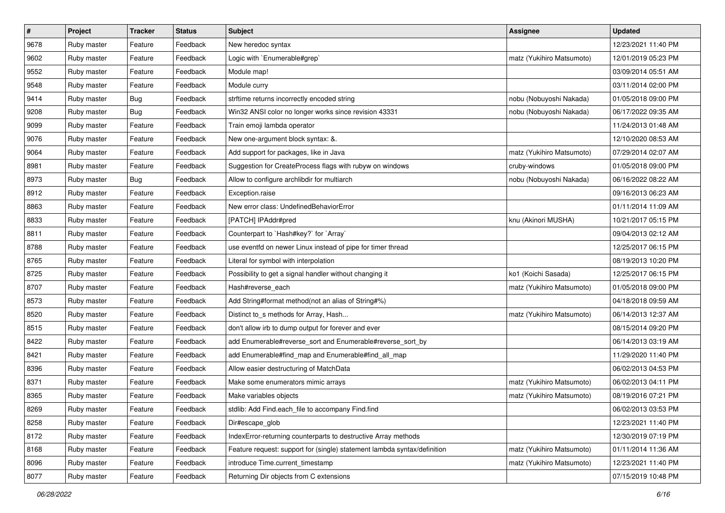| $\sharp$ | Project     | <b>Tracker</b> | <b>Status</b> | Subject                                                                  | <b>Assignee</b>           | <b>Updated</b>      |
|----------|-------------|----------------|---------------|--------------------------------------------------------------------------|---------------------------|---------------------|
| 9678     | Ruby master | Feature        | Feedback      | New heredoc syntax                                                       |                           | 12/23/2021 11:40 PM |
| 9602     | Ruby master | Feature        | Feedback      | Logic with `Enumerable#grep`                                             | matz (Yukihiro Matsumoto) | 12/01/2019 05:23 PM |
| 9552     | Ruby master | Feature        | Feedback      | Module map!                                                              |                           | 03/09/2014 05:51 AM |
| 9548     | Ruby master | Feature        | Feedback      | Module curry                                                             |                           | 03/11/2014 02:00 PM |
| 9414     | Ruby master | Bug            | Feedback      | strftime returns incorrectly encoded string                              | nobu (Nobuyoshi Nakada)   | 01/05/2018 09:00 PM |
| 9208     | Ruby master | <b>Bug</b>     | Feedback      | Win32 ANSI color no longer works since revision 43331                    | nobu (Nobuyoshi Nakada)   | 06/17/2022 09:35 AM |
| 9099     | Ruby master | Feature        | Feedback      | Train emoji lambda operator                                              |                           | 11/24/2013 01:48 AM |
| 9076     | Ruby master | Feature        | Feedback      | New one-argument block syntax: &.                                        |                           | 12/10/2020 08:53 AM |
| 9064     | Ruby master | Feature        | Feedback      | Add support for packages, like in Java                                   | matz (Yukihiro Matsumoto) | 07/29/2014 02:07 AM |
| 8981     | Ruby master | Feature        | Feedback      | Suggestion for CreateProcess flags with rubyw on windows                 | cruby-windows             | 01/05/2018 09:00 PM |
| 8973     | Ruby master | <b>Bug</b>     | Feedback      | Allow to configure archlibdir for multiarch                              | nobu (Nobuyoshi Nakada)   | 06/16/2022 08:22 AM |
| 8912     | Ruby master | Feature        | Feedback      | Exception.raise                                                          |                           | 09/16/2013 06:23 AM |
| 8863     | Ruby master | Feature        | Feedback      | New error class: UndefinedBehaviorError                                  |                           | 01/11/2014 11:09 AM |
| 8833     | Ruby master | Feature        | Feedback      | [PATCH] IPAddr#pred                                                      | knu (Akinori MUSHA)       | 10/21/2017 05:15 PM |
| 8811     | Ruby master | Feature        | Feedback      | Counterpart to `Hash#key?` for `Array`                                   |                           | 09/04/2013 02:12 AM |
| 8788     | Ruby master | Feature        | Feedback      | use eventfd on newer Linux instead of pipe for timer thread              |                           | 12/25/2017 06:15 PM |
| 8765     | Ruby master | Feature        | Feedback      | Literal for symbol with interpolation                                    |                           | 08/19/2013 10:20 PM |
| 8725     | Ruby master | Feature        | Feedback      | Possibility to get a signal handler without changing it                  | ko1 (Koichi Sasada)       | 12/25/2017 06:15 PM |
| 8707     | Ruby master | Feature        | Feedback      | Hash#reverse_each                                                        | matz (Yukihiro Matsumoto) | 01/05/2018 09:00 PM |
| 8573     | Ruby master | Feature        | Feedback      | Add String#format method(not an alias of String#%)                       |                           | 04/18/2018 09:59 AM |
| 8520     | Ruby master | Feature        | Feedback      | Distinct to_s methods for Array, Hash                                    | matz (Yukihiro Matsumoto) | 06/14/2013 12:37 AM |
| 8515     | Ruby master | Feature        | Feedback      | don't allow irb to dump output for forever and ever                      |                           | 08/15/2014 09:20 PM |
| 8422     | Ruby master | Feature        | Feedback      | add Enumerable#reverse_sort and Enumerable#reverse_sort_by               |                           | 06/14/2013 03:19 AM |
| 8421     | Ruby master | Feature        | Feedback      | add Enumerable#find_map and Enumerable#find_all_map                      |                           | 11/29/2020 11:40 PM |
| 8396     | Ruby master | Feature        | Feedback      | Allow easier destructuring of MatchData                                  |                           | 06/02/2013 04:53 PM |
| 8371     | Ruby master | Feature        | Feedback      | Make some enumerators mimic arrays                                       | matz (Yukihiro Matsumoto) | 06/02/2013 04:11 PM |
| 8365     | Ruby master | Feature        | Feedback      | Make variables objects                                                   | matz (Yukihiro Matsumoto) | 08/19/2016 07:21 PM |
| 8269     | Ruby master | Feature        | Feedback      | stdlib: Add Find.each_file to accompany Find.find                        |                           | 06/02/2013 03:53 PM |
| 8258     | Ruby master | Feature        | Feedback      | Dir#escape_glob                                                          |                           | 12/23/2021 11:40 PM |
| 8172     | Ruby master | Feature        | Feedback      | IndexError-returning counterparts to destructive Array methods           |                           | 12/30/2019 07:19 PM |
| 8168     | Ruby master | Feature        | Feedback      | Feature request: support for (single) statement lambda syntax/definition | matz (Yukihiro Matsumoto) | 01/11/2014 11:36 AM |
| 8096     | Ruby master | Feature        | Feedback      | introduce Time.current timestamp                                         | matz (Yukihiro Matsumoto) | 12/23/2021 11:40 PM |
| 8077     | Ruby master | Feature        | Feedback      | Returning Dir objects from C extensions                                  |                           | 07/15/2019 10:48 PM |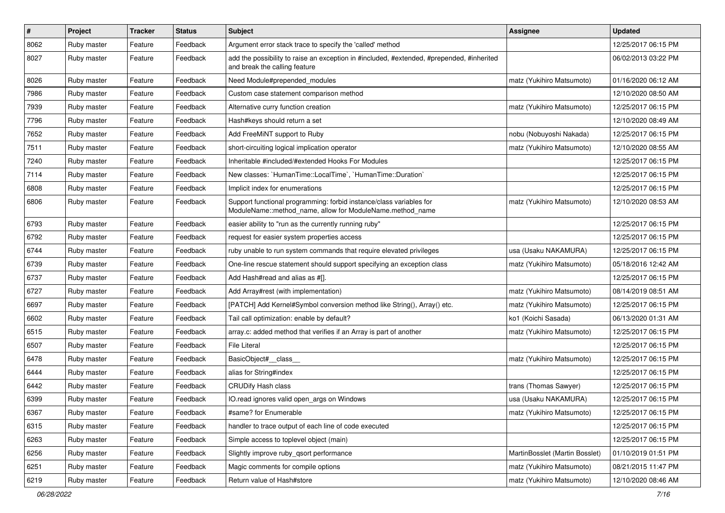| $\#$ | Project     | <b>Tracker</b> | <b>Status</b> | <b>Subject</b>                                                                                                                   | Assignee                       | <b>Updated</b>      |
|------|-------------|----------------|---------------|----------------------------------------------------------------------------------------------------------------------------------|--------------------------------|---------------------|
| 8062 | Ruby master | Feature        | Feedback      | Argument error stack trace to specify the 'called' method                                                                        |                                | 12/25/2017 06:15 PM |
| 8027 | Ruby master | Feature        | Feedback      | add the possibility to raise an exception in #included, #extended, #prepended, #inherited<br>and break the calling feature       |                                | 06/02/2013 03:22 PM |
| 8026 | Ruby master | Feature        | Feedback      | Need Module#prepended_modules                                                                                                    | matz (Yukihiro Matsumoto)      | 01/16/2020 06:12 AM |
| 7986 | Ruby master | Feature        | Feedback      | Custom case statement comparison method                                                                                          |                                | 12/10/2020 08:50 AM |
| 7939 | Ruby master | Feature        | Feedback      | Alternative curry function creation                                                                                              | matz (Yukihiro Matsumoto)      | 12/25/2017 06:15 PM |
| 7796 | Ruby master | Feature        | Feedback      | Hash#keys should return a set                                                                                                    |                                | 12/10/2020 08:49 AM |
| 7652 | Ruby master | Feature        | Feedback      | Add FreeMiNT support to Ruby                                                                                                     | nobu (Nobuyoshi Nakada)        | 12/25/2017 06:15 PM |
| 7511 | Ruby master | Feature        | Feedback      | short-circuiting logical implication operator                                                                                    | matz (Yukihiro Matsumoto)      | 12/10/2020 08:55 AM |
| 7240 | Ruby master | Feature        | Feedback      | Inheritable #included/#extended Hooks For Modules                                                                                |                                | 12/25/2017 06:15 PM |
| 7114 | Ruby master | Feature        | Feedback      | New classes: `HumanTime::LocalTime`, `HumanTime::Duration`                                                                       |                                | 12/25/2017 06:15 PM |
| 6808 | Ruby master | Feature        | Feedback      | Implicit index for enumerations                                                                                                  |                                | 12/25/2017 06:15 PM |
| 6806 | Ruby master | Feature        | Feedback      | Support functional programming: forbid instance/class variables for<br>ModuleName::method name, allow for ModuleName.method name | matz (Yukihiro Matsumoto)      | 12/10/2020 08:53 AM |
| 6793 | Ruby master | Feature        | Feedback      | easier ability to "run as the currently running ruby"                                                                            |                                | 12/25/2017 06:15 PM |
| 6792 | Ruby master | Feature        | Feedback      | request for easier system properties access                                                                                      |                                | 12/25/2017 06:15 PM |
| 6744 | Ruby master | Feature        | Feedback      | ruby unable to run system commands that require elevated privileges                                                              | usa (Usaku NAKAMURA)           | 12/25/2017 06:15 PM |
| 6739 | Ruby master | Feature        | Feedback      | One-line rescue statement should support specifying an exception class                                                           | matz (Yukihiro Matsumoto)      | 05/18/2016 12:42 AM |
| 6737 | Ruby master | Feature        | Feedback      | Add Hash#read and alias as #[].                                                                                                  |                                | 12/25/2017 06:15 PM |
| 6727 | Ruby master | Feature        | Feedback      | Add Array#rest (with implementation)                                                                                             | matz (Yukihiro Matsumoto)      | 08/14/2019 08:51 AM |
| 6697 | Ruby master | Feature        | Feedback      | [PATCH] Add Kernel#Symbol conversion method like String(), Array() etc.                                                          | matz (Yukihiro Matsumoto)      | 12/25/2017 06:15 PM |
| 6602 | Ruby master | Feature        | Feedback      | Tail call optimization: enable by default?                                                                                       | ko1 (Koichi Sasada)            | 06/13/2020 01:31 AM |
| 6515 | Ruby master | Feature        | Feedback      | array.c: added method that verifies if an Array is part of another                                                               | matz (Yukihiro Matsumoto)      | 12/25/2017 06:15 PM |
| 6507 | Ruby master | Feature        | Feedback      | <b>File Literal</b>                                                                                                              |                                | 12/25/2017 06:15 PM |
| 6478 | Ruby master | Feature        | Feedback      | BasicObject# class                                                                                                               | matz (Yukihiro Matsumoto)      | 12/25/2017 06:15 PM |
| 6444 | Ruby master | Feature        | Feedback      | alias for String#index                                                                                                           |                                | 12/25/2017 06:15 PM |
| 6442 | Ruby master | Feature        | Feedback      | <b>CRUDify Hash class</b>                                                                                                        | trans (Thomas Sawyer)          | 12/25/2017 06:15 PM |
| 6399 | Ruby master | Feature        | Feedback      | IO.read ignores valid open_args on Windows                                                                                       | usa (Usaku NAKAMURA)           | 12/25/2017 06:15 PM |
| 6367 | Ruby master | Feature        | Feedback      | #same? for Enumerable                                                                                                            | matz (Yukihiro Matsumoto)      | 12/25/2017 06:15 PM |
| 6315 | Ruby master | Feature        | Feedback      | handler to trace output of each line of code executed                                                                            |                                | 12/25/2017 06:15 PM |
| 6263 | Ruby master | Feature        | Feedback      | Simple access to toplevel object (main)                                                                                          |                                | 12/25/2017 06:15 PM |
| 6256 | Ruby master | Feature        | Feedback      | Slightly improve ruby_qsort performance                                                                                          | MartinBosslet (Martin Bosslet) | 01/10/2019 01:51 PM |
| 6251 | Ruby master | Feature        | Feedback      | Magic comments for compile options                                                                                               | matz (Yukihiro Matsumoto)      | 08/21/2015 11:47 PM |
| 6219 | Ruby master | Feature        | Feedback      | Return value of Hash#store                                                                                                       | matz (Yukihiro Matsumoto)      | 12/10/2020 08:46 AM |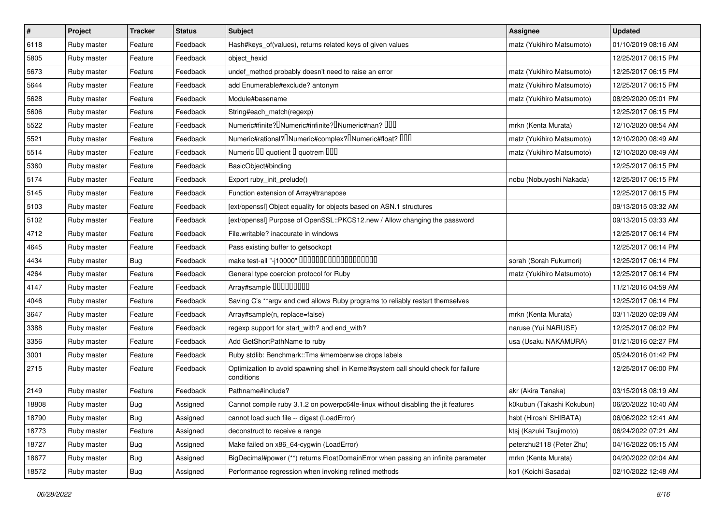| $\vert$ # | Project     | <b>Tracker</b> | <b>Status</b> | <b>Subject</b>                                                                                    | <b>Assignee</b>           | <b>Updated</b>      |
|-----------|-------------|----------------|---------------|---------------------------------------------------------------------------------------------------|---------------------------|---------------------|
| 6118      | Ruby master | Feature        | Feedback      | Hash#keys_of(values), returns related keys of given values                                        | matz (Yukihiro Matsumoto) | 01/10/2019 08:16 AM |
| 5805      | Ruby master | Feature        | Feedback      | object_hexid                                                                                      |                           | 12/25/2017 06:15 PM |
| 5673      | Ruby master | Feature        | Feedback      | undef_method probably doesn't need to raise an error                                              | matz (Yukihiro Matsumoto) | 12/25/2017 06:15 PM |
| 5644      | Ruby master | Feature        | Feedback      | add Enumerable#exclude? antonym                                                                   | matz (Yukihiro Matsumoto) | 12/25/2017 06:15 PM |
| 5628      | Ruby master | Feature        | Feedback      | Module#basename                                                                                   | matz (Yukihiro Matsumoto) | 08/29/2020 05:01 PM |
| 5606      | Ruby master | Feature        | Feedback      | String#each_match(regexp)                                                                         |                           | 12/25/2017 06:15 PM |
| 5522      | Ruby master | Feature        | Feedback      | Numeric#finite? Numeric#infinite? INumeric#nan? IIII                                              | mrkn (Kenta Murata)       | 12/10/2020 08:54 AM |
| 5521      | Ruby master | Feature        | Feedback      | Numeric#rational? <sup>[]</sup> Numeric#complex? <sup>[]</sup> Numeric#float? <sup>[10]</sup>     | matz (Yukihiro Matsumoto) | 12/10/2020 08:49 AM |
| 5514      | Ruby master | Feature        | Feedback      | Numeric III quotient II quotrem IIII                                                              | matz (Yukihiro Matsumoto) | 12/10/2020 08:49 AM |
| 5360      | Ruby master | Feature        | Feedback      | BasicObject#binding                                                                               |                           | 12/25/2017 06:15 PM |
| 5174      | Ruby master | Feature        | Feedback      | Export ruby_init_prelude()                                                                        | nobu (Nobuyoshi Nakada)   | 12/25/2017 06:15 PM |
| 5145      | Ruby master | Feature        | Feedback      | Function extension of Array#transpose                                                             |                           | 12/25/2017 06:15 PM |
| 5103      | Ruby master | Feature        | Feedback      | [ext/openssl] Object equality for objects based on ASN.1 structures                               |                           | 09/13/2015 03:32 AM |
| 5102      | Ruby master | Feature        | Feedback      | [ext/openssl] Purpose of OpenSSL::PKCS12.new / Allow changing the password                        |                           | 09/13/2015 03:33 AM |
| 4712      | Ruby master | Feature        | Feedback      | File.writable? inaccurate in windows                                                              |                           | 12/25/2017 06:14 PM |
| 4645      | Ruby master | Feature        | Feedback      | Pass existing buffer to getsockopt                                                                |                           | 12/25/2017 06:14 PM |
| 4434      | Ruby master | Bug            | Feedback      | make test-all "-j10000" 0000000000000000000                                                       | sorah (Sorah Fukumori)    | 12/25/2017 06:14 PM |
| 4264      | Ruby master | Feature        | Feedback      | General type coercion protocol for Ruby                                                           | matz (Yukihiro Matsumoto) | 12/25/2017 06:14 PM |
| 4147      | Ruby master | Feature        | Feedback      | Array#sample 00000000                                                                             |                           | 11/21/2016 04:59 AM |
| 4046      | Ruby master | Feature        | Feedback      | Saving C's ** argv and cwd allows Ruby programs to reliably restart themselves                    |                           | 12/25/2017 06:14 PM |
| 3647      | Ruby master | Feature        | Feedback      | Array#sample(n, replace=false)                                                                    | mrkn (Kenta Murata)       | 03/11/2020 02:09 AM |
| 3388      | Ruby master | Feature        | Feedback      | regexp support for start_with? and end_with?                                                      | naruse (Yui NARUSE)       | 12/25/2017 06:02 PM |
| 3356      | Ruby master | Feature        | Feedback      | Add GetShortPathName to ruby                                                                      | usa (Usaku NAKAMURA)      | 01/21/2016 02:27 PM |
| 3001      | Ruby master | Feature        | Feedback      | Ruby stdlib: Benchmark::Tms #memberwise drops labels                                              |                           | 05/24/2016 01:42 PM |
| 2715      | Ruby master | Feature        | Feedback      | Optimization to avoid spawning shell in Kernel#system call should check for failure<br>conditions |                           | 12/25/2017 06:00 PM |
| 2149      | Ruby master | Feature        | Feedback      | Pathname#include?                                                                                 | akr (Akira Tanaka)        | 03/15/2018 08:19 AM |
| 18808     | Ruby master | <b>Bug</b>     | Assigned      | Cannot compile ruby 3.1.2 on powerpc64le-linux without disabling the jit features                 | k0kubun (Takashi Kokubun) | 06/20/2022 10:40 AM |
| 18790     | Ruby master | <b>Bug</b>     | Assigned      | cannot load such file -- digest (LoadError)                                                       | hsbt (Hiroshi SHIBATA)    | 06/06/2022 12:41 AM |
| 18773     | Ruby master | Feature        | Assigned      | deconstruct to receive a range                                                                    | ktsj (Kazuki Tsujimoto)   | 06/24/2022 07:21 AM |
| 18727     | Ruby master | <b>Bug</b>     | Assigned      | Make failed on x86_64-cygwin (LoadError)                                                          | peterzhu2118 (Peter Zhu)  | 04/16/2022 05:15 AM |
| 18677     | Ruby master | <b>Bug</b>     | Assigned      | BigDecimal#power (**) returns FloatDomainError when passing an infinite parameter                 | mrkn (Kenta Murata)       | 04/20/2022 02:04 AM |
| 18572     | Ruby master | <b>Bug</b>     | Assigned      | Performance regression when invoking refined methods                                              | ko1 (Koichi Sasada)       | 02/10/2022 12:48 AM |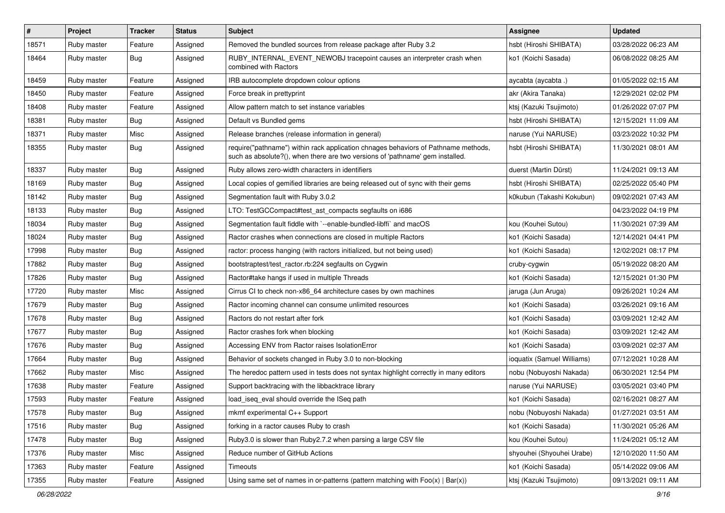| $\pmb{\#}$ | Project     | <b>Tracker</b> | <b>Status</b> | Subject                                                                                                                                                             | Assignee                   | <b>Updated</b>      |
|------------|-------------|----------------|---------------|---------------------------------------------------------------------------------------------------------------------------------------------------------------------|----------------------------|---------------------|
| 18571      | Ruby master | Feature        | Assigned      | Removed the bundled sources from release package after Ruby 3.2                                                                                                     | hsbt (Hiroshi SHIBATA)     | 03/28/2022 06:23 AM |
| 18464      | Ruby master | Bug            | Assigned      | RUBY_INTERNAL_EVENT_NEWOBJ tracepoint causes an interpreter crash when<br>combined with Ractors                                                                     | ko1 (Koichi Sasada)        | 06/08/2022 08:25 AM |
| 18459      | Ruby master | Feature        | Assigned      | IRB autocomplete dropdown colour options                                                                                                                            | aycabta (aycabta.)         | 01/05/2022 02:15 AM |
| 18450      | Ruby master | Feature        | Assigned      | Force break in prettyprint                                                                                                                                          | akr (Akira Tanaka)         | 12/29/2021 02:02 PM |
| 18408      | Ruby master | Feature        | Assigned      | Allow pattern match to set instance variables                                                                                                                       | ktsj (Kazuki Tsujimoto)    | 01/26/2022 07:07 PM |
| 18381      | Ruby master | <b>Bug</b>     | Assigned      | Default vs Bundled gems                                                                                                                                             | hsbt (Hiroshi SHIBATA)     | 12/15/2021 11:09 AM |
| 18371      | Ruby master | Misc           | Assigned      | Release branches (release information in general)                                                                                                                   | naruse (Yui NARUSE)        | 03/23/2022 10:32 PM |
| 18355      | Ruby master | <b>Bug</b>     | Assigned      | require("pathname") within rack application chnages behaviors of Pathname methods,<br>such as absolute?(), when there are two versions of 'pathname' gem installed. | hsbt (Hiroshi SHIBATA)     | 11/30/2021 08:01 AM |
| 18337      | Ruby master | Bug            | Assigned      | Ruby allows zero-width characters in identifiers                                                                                                                    | duerst (Martin Dürst)      | 11/24/2021 09:13 AM |
| 18169      | Ruby master | <b>Bug</b>     | Assigned      | Local copies of gemified libraries are being released out of sync with their gems                                                                                   | hsbt (Hiroshi SHIBATA)     | 02/25/2022 05:40 PM |
| 18142      | Ruby master | Bug            | Assigned      | Segmentation fault with Ruby 3.0.2                                                                                                                                  | k0kubun (Takashi Kokubun)  | 09/02/2021 07:43 AM |
| 18133      | Ruby master | <b>Bug</b>     | Assigned      | LTO: TestGCCompact#test ast compacts segfaults on i686                                                                                                              |                            | 04/23/2022 04:19 PM |
| 18034      | Ruby master | <b>Bug</b>     | Assigned      | Segmentation fault fiddle with `--enable-bundled-libffi` and macOS                                                                                                  | kou (Kouhei Sutou)         | 11/30/2021 07:39 AM |
| 18024      | Ruby master | <b>Bug</b>     | Assigned      | Ractor crashes when connections are closed in multiple Ractors                                                                                                      | ko1 (Koichi Sasada)        | 12/14/2021 04:41 PM |
| 17998      | Ruby master | <b>Bug</b>     | Assigned      | ractor: process hanging (with ractors initialized, but not being used)                                                                                              | ko1 (Koichi Sasada)        | 12/02/2021 08:17 PM |
| 17882      | Ruby master | Bug            | Assigned      | bootstraptest/test_ractor.rb:224 segfaults on Cygwin                                                                                                                | cruby-cygwin               | 05/19/2022 08:20 AM |
| 17826      | Ruby master | <b>Bug</b>     | Assigned      | Ractor#take hangs if used in multiple Threads                                                                                                                       | ko1 (Koichi Sasada)        | 12/15/2021 01:30 PM |
| 17720      | Ruby master | Misc           | Assigned      | Cirrus CI to check non-x86_64 architecture cases by own machines                                                                                                    | jaruga (Jun Aruga)         | 09/26/2021 10:24 AM |
| 17679      | Ruby master | <b>Bug</b>     | Assigned      | Ractor incoming channel can consume unlimited resources                                                                                                             | ko1 (Koichi Sasada)        | 03/26/2021 09:16 AM |
| 17678      | Ruby master | <b>Bug</b>     | Assigned      | Ractors do not restart after fork                                                                                                                                   | ko1 (Koichi Sasada)        | 03/09/2021 12:42 AM |
| 17677      | Ruby master | Bug            | Assigned      | Ractor crashes fork when blocking                                                                                                                                   | ko1 (Koichi Sasada)        | 03/09/2021 12:42 AM |
| 17676      | Ruby master | <b>Bug</b>     | Assigned      | Accessing ENV from Ractor raises IsolationError                                                                                                                     | ko1 (Koichi Sasada)        | 03/09/2021 02:37 AM |
| 17664      | Ruby master | <b>Bug</b>     | Assigned      | Behavior of sockets changed in Ruby 3.0 to non-blocking                                                                                                             | ioquatix (Samuel Williams) | 07/12/2021 10:28 AM |
| 17662      | Ruby master | Misc           | Assigned      | The heredoc pattern used in tests does not syntax highlight correctly in many editors                                                                               | nobu (Nobuyoshi Nakada)    | 06/30/2021 12:54 PM |
| 17638      | Ruby master | Feature        | Assigned      | Support backtracing with the libbacktrace library                                                                                                                   | naruse (Yui NARUSE)        | 03/05/2021 03:40 PM |
| 17593      | Ruby master | Feature        | Assigned      | load_iseq_eval should override the ISeq path                                                                                                                        | ko1 (Koichi Sasada)        | 02/16/2021 08:27 AM |
| 17578      | Ruby master | Bug            | Assigned      | mkmf experimental C++ Support                                                                                                                                       | nobu (Nobuyoshi Nakada)    | 01/27/2021 03:51 AM |
| 17516      | Ruby master | <b>Bug</b>     | Assigned      | forking in a ractor causes Ruby to crash                                                                                                                            | ko1 (Koichi Sasada)        | 11/30/2021 05:26 AM |
| 17478      | Ruby master | <b>Bug</b>     | Assigned      | Ruby3.0 is slower than Ruby2.7.2 when parsing a large CSV file                                                                                                      | kou (Kouhei Sutou)         | 11/24/2021 05:12 AM |
| 17376      | Ruby master | Misc           | Assigned      | Reduce number of GitHub Actions                                                                                                                                     | shyouhei (Shyouhei Urabe)  | 12/10/2020 11:50 AM |
| 17363      | Ruby master | Feature        | Assigned      | Timeouts                                                                                                                                                            | ko1 (Koichi Sasada)        | 05/14/2022 09:06 AM |
| 17355      | Ruby master | Feature        | Assigned      | Using same set of names in or-patterns (pattern matching with $Foo(x)   Bar(x))$                                                                                    | ktsj (Kazuki Tsujimoto)    | 09/13/2021 09:11 AM |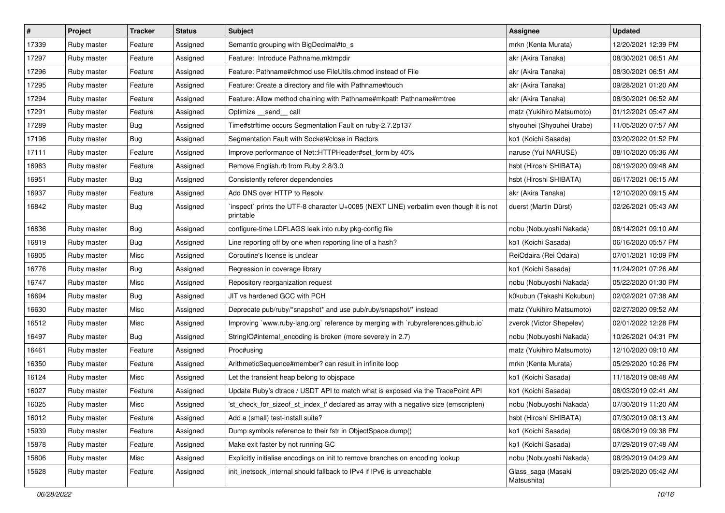| $\vert$ # | Project     | <b>Tracker</b> | <b>Status</b> | <b>Subject</b>                                                                                     | <b>Assignee</b>                   | <b>Updated</b>      |
|-----------|-------------|----------------|---------------|----------------------------------------------------------------------------------------------------|-----------------------------------|---------------------|
| 17339     | Ruby master | Feature        | Assigned      | Semantic grouping with BigDecimal#to_s                                                             | mrkn (Kenta Murata)               | 12/20/2021 12:39 PM |
| 17297     | Ruby master | Feature        | Assigned      | Feature: Introduce Pathname.mktmpdir                                                               | akr (Akira Tanaka)                | 08/30/2021 06:51 AM |
| 17296     | Ruby master | Feature        | Assigned      | Feature: Pathname#chmod use FileUtils.chmod instead of File                                        | akr (Akira Tanaka)                | 08/30/2021 06:51 AM |
| 17295     | Ruby master | Feature        | Assigned      | Feature: Create a directory and file with Pathname#touch                                           | akr (Akira Tanaka)                | 09/28/2021 01:20 AM |
| 17294     | Ruby master | Feature        | Assigned      | Feature: Allow method chaining with Pathname#mkpath Pathname#rmtree                                | akr (Akira Tanaka)                | 08/30/2021 06:52 AM |
| 17291     | Ruby master | Feature        | Assigned      | Optimize send call                                                                                 | matz (Yukihiro Matsumoto)         | 01/12/2021 05:47 AM |
| 17289     | Ruby master | Bug            | Assigned      | Time#strftime occurs Segmentation Fault on ruby-2.7.2p137                                          | shyouhei (Shyouhei Urabe)         | 11/05/2020 07:57 AM |
| 17196     | Ruby master | Bug            | Assigned      | Segmentation Fault with Socket#close in Ractors                                                    | ko1 (Koichi Sasada)               | 03/20/2022 01:52 PM |
| 17111     | Ruby master | Feature        | Assigned      | Improve performance of Net::HTTPHeader#set_form by 40%                                             | naruse (Yui NARUSE)               | 08/10/2020 05:36 AM |
| 16963     | Ruby master | Feature        | Assigned      | Remove English.rb from Ruby 2.8/3.0                                                                | hsbt (Hiroshi SHIBATA)            | 06/19/2020 09:48 AM |
| 16951     | Ruby master | <b>Bug</b>     | Assigned      | Consistently referer dependencies                                                                  | hsbt (Hiroshi SHIBATA)            | 06/17/2021 06:15 AM |
| 16937     | Ruby master | Feature        | Assigned      | Add DNS over HTTP to Resolv                                                                        | akr (Akira Tanaka)                | 12/10/2020 09:15 AM |
| 16842     | Ruby master | Bug            | Assigned      | inspect` prints the UTF-8 character U+0085 (NEXT LINE) verbatim even though it is not<br>printable | duerst (Martin Dürst)             | 02/26/2021 05:43 AM |
| 16836     | Ruby master | <b>Bug</b>     | Assigned      | configure-time LDFLAGS leak into ruby pkg-config file                                              | nobu (Nobuyoshi Nakada)           | 08/14/2021 09:10 AM |
| 16819     | Ruby master | <b>Bug</b>     | Assigned      | Line reporting off by one when reporting line of a hash?                                           | ko1 (Koichi Sasada)               | 06/16/2020 05:57 PM |
| 16805     | Ruby master | Misc           | Assigned      | Coroutine's license is unclear                                                                     | ReiOdaira (Rei Odaira)            | 07/01/2021 10:09 PM |
| 16776     | Ruby master | <b>Bug</b>     | Assigned      | Regression in coverage library                                                                     | ko1 (Koichi Sasada)               | 11/24/2021 07:26 AM |
| 16747     | Ruby master | Misc           | Assigned      | Repository reorganization request                                                                  | nobu (Nobuyoshi Nakada)           | 05/22/2020 01:30 PM |
| 16694     | Ruby master | <b>Bug</b>     | Assigned      | JIT vs hardened GCC with PCH                                                                       | k0kubun (Takashi Kokubun)         | 02/02/2021 07:38 AM |
| 16630     | Ruby master | Misc           | Assigned      | Deprecate pub/ruby/*snapshot* and use pub/ruby/snapshot/* instead                                  | matz (Yukihiro Matsumoto)         | 02/27/2020 09:52 AM |
| 16512     | Ruby master | Misc           | Assigned      | Improving `www.ruby-lang.org` reference by merging with `rubyreferences.github.io`                 | zverok (Victor Shepelev)          | 02/01/2022 12:28 PM |
| 16497     | Ruby master | <b>Bug</b>     | Assigned      | StringIO#internal_encoding is broken (more severely in 2.7)                                        | nobu (Nobuyoshi Nakada)           | 10/26/2021 04:31 PM |
| 16461     | Ruby master | Feature        | Assigned      | Proc#using                                                                                         | matz (Yukihiro Matsumoto)         | 12/10/2020 09:10 AM |
| 16350     | Ruby master | Feature        | Assigned      | ArithmeticSequence#member? can result in infinite loop                                             | mrkn (Kenta Murata)               | 05/29/2020 10:26 PM |
| 16124     | Ruby master | Misc           | Assigned      | Let the transient heap belong to objspace                                                          | ko1 (Koichi Sasada)               | 11/18/2019 08:48 AM |
| 16027     | Ruby master | Feature        | Assigned      | Update Ruby's dtrace / USDT API to match what is exposed via the TracePoint API                    | ko1 (Koichi Sasada)               | 08/03/2019 02:41 AM |
| 16025     | Ruby master | Misc           | Assigned      | 'st_check_for_sizeof_st_index_t' declared as array with a negative size (emscripten)               | nobu (Nobuyoshi Nakada)           | 07/30/2019 11:20 AM |
| 16012     | Ruby master | Feature        | Assigned      | Add a (small) test-install suite?                                                                  | hsbt (Hiroshi SHIBATA)            | 07/30/2019 08:13 AM |
| 15939     | Ruby master | Feature        | Assigned      | Dump symbols reference to their fstr in ObjectSpace.dump()                                         | ko1 (Koichi Sasada)               | 08/08/2019 09:38 PM |
| 15878     | Ruby master | Feature        | Assigned      | Make exit faster by not running GC                                                                 | ko1 (Koichi Sasada)               | 07/29/2019 07:48 AM |
| 15806     | Ruby master | Misc           | Assigned      | Explicitly initialise encodings on init to remove branches on encoding lookup                      | nobu (Nobuyoshi Nakada)           | 08/29/2019 04:29 AM |
| 15628     | Ruby master | Feature        | Assigned      | init_inetsock_internal should fallback to IPv4 if IPv6 is unreachable                              | Glass_saga (Masaki<br>Matsushita) | 09/25/2020 05:42 AM |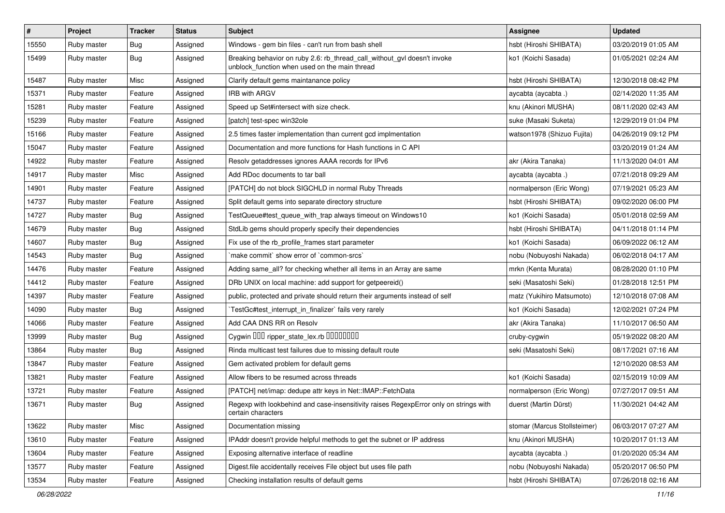| #     | <b>Project</b> | <b>Tracker</b> | <b>Status</b> | Subject                                                                                                                   | Assignee                     | <b>Updated</b>      |
|-------|----------------|----------------|---------------|---------------------------------------------------------------------------------------------------------------------------|------------------------------|---------------------|
| 15550 | Ruby master    | Bug            | Assigned      | Windows - gem bin files - can't run from bash shell                                                                       | hsbt (Hiroshi SHIBATA)       | 03/20/2019 01:05 AM |
| 15499 | Ruby master    | Bug            | Assigned      | Breaking behavior on ruby 2.6: rb_thread_call_without_gvl doesn't invoke<br>unblock_function when used on the main thread | ko1 (Koichi Sasada)          | 01/05/2021 02:24 AM |
| 15487 | Ruby master    | Misc           | Assigned      | Clarify default gems maintanance policy                                                                                   | hsbt (Hiroshi SHIBATA)       | 12/30/2018 08:42 PM |
| 15371 | Ruby master    | Feature        | Assigned      | <b>IRB with ARGV</b>                                                                                                      | aycabta (aycabta .)          | 02/14/2020 11:35 AM |
| 15281 | Ruby master    | Feature        | Assigned      | Speed up Set#intersect with size check.                                                                                   | knu (Akinori MUSHA)          | 08/11/2020 02:43 AM |
| 15239 | Ruby master    | Feature        | Assigned      | [patch] test-spec win32ole                                                                                                | suke (Masaki Suketa)         | 12/29/2019 01:04 PM |
| 15166 | Ruby master    | Feature        | Assigned      | 2.5 times faster implementation than current gcd implmentation                                                            | watson1978 (Shizuo Fujita)   | 04/26/2019 09:12 PM |
| 15047 | Ruby master    | Feature        | Assigned      | Documentation and more functions for Hash functions in C API                                                              |                              | 03/20/2019 01:24 AM |
| 14922 | Ruby master    | Feature        | Assigned      | Resolv getaddresses ignores AAAA records for IPv6                                                                         | akr (Akira Tanaka)           | 11/13/2020 04:01 AM |
| 14917 | Ruby master    | Misc           | Assigned      | Add RDoc documents to tar ball                                                                                            | aycabta (aycabta.)           | 07/21/2018 09:29 AM |
| 14901 | Ruby master    | Feature        | Assigned      | [PATCH] do not block SIGCHLD in normal Ruby Threads                                                                       | normalperson (Eric Wong)     | 07/19/2021 05:23 AM |
| 14737 | Ruby master    | Feature        | Assigned      | Split default gems into separate directory structure                                                                      | hsbt (Hiroshi SHIBATA)       | 09/02/2020 06:00 PM |
| 14727 | Ruby master    | <b>Bug</b>     | Assigned      | TestQueue#test_queue_with_trap always timeout on Windows10                                                                | ko1 (Koichi Sasada)          | 05/01/2018 02:59 AM |
| 14679 | Ruby master    | Bug            | Assigned      | StdLib gems should properly specify their dependencies                                                                    | hsbt (Hiroshi SHIBATA)       | 04/11/2018 01:14 PM |
| 14607 | Ruby master    | <b>Bug</b>     | Assigned      | Fix use of the rb_profile_frames start parameter                                                                          | ko1 (Koichi Sasada)          | 06/09/2022 06:12 AM |
| 14543 | Ruby master    | Bug            | Assigned      | 'make commit' show error of 'common-srcs'                                                                                 | nobu (Nobuyoshi Nakada)      | 06/02/2018 04:17 AM |
| 14476 | Ruby master    | Feature        | Assigned      | Adding same_all? for checking whether all items in an Array are same                                                      | mrkn (Kenta Murata)          | 08/28/2020 01:10 PM |
| 14412 | Ruby master    | Feature        | Assigned      | DRb UNIX on local machine: add support for getpeereid()                                                                   | seki (Masatoshi Seki)        | 01/28/2018 12:51 PM |
| 14397 | Ruby master    | Feature        | Assigned      | public, protected and private should return their arguments instead of self                                               | matz (Yukihiro Matsumoto)    | 12/10/2018 07:08 AM |
| 14090 | Ruby master    | Bug            | Assigned      | TestGc#test_interrupt_in_finalizer` fails very rarely                                                                     | ko1 (Koichi Sasada)          | 12/02/2021 07:24 PM |
| 14066 | Ruby master    | Feature        | Assigned      | Add CAA DNS RR on Resolv                                                                                                  | akr (Akira Tanaka)           | 11/10/2017 06:50 AM |
| 13999 | Ruby master    | <b>Bug</b>     | Assigned      | Cygwin DDD ripper_state_lex.rb DDDDDDDD                                                                                   | cruby-cygwin                 | 05/19/2022 08:20 AM |
| 13864 | Ruby master    | Bug            | Assigned      | Rinda multicast test failures due to missing default route                                                                | seki (Masatoshi Seki)        | 08/17/2021 07:16 AM |
| 13847 | Ruby master    | Feature        | Assigned      | Gem activated problem for default gems                                                                                    |                              | 12/10/2020 08:53 AM |
| 13821 | Ruby master    | Feature        | Assigned      | Allow fibers to be resumed across threads                                                                                 | ko1 (Koichi Sasada)          | 02/15/2019 10:09 AM |
| 13721 | Ruby master    | Feature        | Assigned      | [PATCH] net/imap: dedupe attr keys in Net::IMAP::FetchData                                                                | normalperson (Eric Wong)     | 07/27/2017 09:51 AM |
| 13671 | Ruby master    | <b>Bug</b>     | Assigned      | Regexp with lookbehind and case-insensitivity raises RegexpError only on strings with<br>certain characters               | duerst (Martin Dürst)        | 11/30/2021 04:42 AM |
| 13622 | Ruby master    | Misc           | Assigned      | Documentation missing                                                                                                     | stomar (Marcus Stollsteimer) | 06/03/2017 07:27 AM |
| 13610 | Ruby master    | Feature        | Assigned      | IPAddr doesn't provide helpful methods to get the subnet or IP address                                                    | knu (Akinori MUSHA)          | 10/20/2017 01:13 AM |
| 13604 | Ruby master    | Feature        | Assigned      | Exposing alternative interface of readline                                                                                | aycabta (aycabta.)           | 01/20/2020 05:34 AM |
| 13577 | Ruby master    | Feature        | Assigned      | Digest.file accidentally receives File object but uses file path                                                          | nobu (Nobuyoshi Nakada)      | 05/20/2017 06:50 PM |
| 13534 | Ruby master    | Feature        | Assigned      | Checking installation results of default gems                                                                             | hsbt (Hiroshi SHIBATA)       | 07/26/2018 02:16 AM |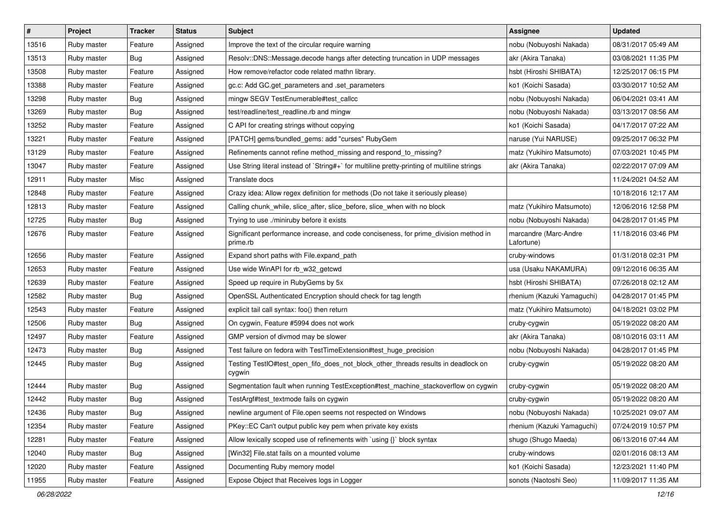| $\vert$ # | Project     | <b>Tracker</b> | <b>Status</b> | <b>Subject</b>                                                                                   | Assignee                            | <b>Updated</b>      |
|-----------|-------------|----------------|---------------|--------------------------------------------------------------------------------------------------|-------------------------------------|---------------------|
| 13516     | Ruby master | Feature        | Assigned      | Improve the text of the circular require warning                                                 | nobu (Nobuyoshi Nakada)             | 08/31/2017 05:49 AM |
| 13513     | Ruby master | Bug            | Assigned      | Resolv::DNS::Message.decode hangs after detecting truncation in UDP messages                     | akr (Akira Tanaka)                  | 03/08/2021 11:35 PM |
| 13508     | Ruby master | Feature        | Assigned      | How remove/refactor code related mathn library.                                                  | hsbt (Hiroshi SHIBATA)              | 12/25/2017 06:15 PM |
| 13388     | Ruby master | Feature        | Assigned      | gc.c: Add GC.get_parameters and .set_parameters                                                  | ko1 (Koichi Sasada)                 | 03/30/2017 10:52 AM |
| 13298     | Ruby master | <b>Bug</b>     | Assigned      | mingw SEGV TestEnumerable#test_callcc                                                            | nobu (Nobuyoshi Nakada)             | 06/04/2021 03:41 AM |
| 13269     | Ruby master | Bug            | Assigned      | test/readline/test_readline.rb and mingw                                                         | nobu (Nobuyoshi Nakada)             | 03/13/2017 08:56 AM |
| 13252     | Ruby master | Feature        | Assigned      | C API for creating strings without copying                                                       | ko1 (Koichi Sasada)                 | 04/17/2017 07:22 AM |
| 13221     | Ruby master | Feature        | Assigned      | [PATCH] gems/bundled_gems: add "curses" RubyGem                                                  | naruse (Yui NARUSE)                 | 09/25/2017 06:32 PM |
| 13129     | Ruby master | Feature        | Assigned      | Refinements cannot refine method_missing and respond_to_missing?                                 | matz (Yukihiro Matsumoto)           | 07/03/2021 10:45 PM |
| 13047     | Ruby master | Feature        | Assigned      | Use String literal instead of `String#+` for multiline pretty-printing of multiline strings      | akr (Akira Tanaka)                  | 02/22/2017 07:09 AM |
| 12911     | Ruby master | Misc           | Assigned      | Translate docs                                                                                   |                                     | 11/24/2021 04:52 AM |
| 12848     | Ruby master | Feature        | Assigned      | Crazy idea: Allow regex definition for methods (Do not take it seriously please)                 |                                     | 10/18/2016 12:17 AM |
| 12813     | Ruby master | Feature        | Assigned      | Calling chunk_while, slice_after, slice_before, slice_when with no block                         | matz (Yukihiro Matsumoto)           | 12/06/2016 12:58 PM |
| 12725     | Ruby master | Bug            | Assigned      | Trying to use ./miniruby before it exists                                                        | nobu (Nobuyoshi Nakada)             | 04/28/2017 01:45 PM |
| 12676     | Ruby master | Feature        | Assigned      | Significant performance increase, and code conciseness, for prime_division method in<br>prime.rb | marcandre (Marc-Andre<br>Lafortune) | 11/18/2016 03:46 PM |
| 12656     | Ruby master | Feature        | Assigned      | Expand short paths with File.expand_path                                                         | cruby-windows                       | 01/31/2018 02:31 PM |
| 12653     | Ruby master | Feature        | Assigned      | Use wide WinAPI for rb_w32_getcwd                                                                | usa (Usaku NAKAMURA)                | 09/12/2016 06:35 AM |
| 12639     | Ruby master | Feature        | Assigned      | Speed up require in RubyGems by 5x                                                               | hsbt (Hiroshi SHIBATA)              | 07/26/2018 02:12 AM |
| 12582     | Ruby master | Bug            | Assigned      | OpenSSL Authenticated Encryption should check for tag length                                     | rhenium (Kazuki Yamaguchi)          | 04/28/2017 01:45 PM |
| 12543     | Ruby master | Feature        | Assigned      | explicit tail call syntax: foo() then return                                                     | matz (Yukihiro Matsumoto)           | 04/18/2021 03:02 PM |
| 12506     | Ruby master | Bug            | Assigned      | On cygwin, Feature #5994 does not work                                                           | cruby-cygwin                        | 05/19/2022 08:20 AM |
| 12497     | Ruby master | Feature        | Assigned      | GMP version of divmod may be slower                                                              | akr (Akira Tanaka)                  | 08/10/2016 03:11 AM |
| 12473     | Ruby master | Bug            | Assigned      | Test failure on fedora with TestTimeExtension#test_huge_precision                                | nobu (Nobuyoshi Nakada)             | 04/28/2017 01:45 PM |
| 12445     | Ruby master | Bug            | Assigned      | Testing TestIO#test_open_fifo_does_not_block_other_threads results in deadlock on<br>cygwin      | cruby-cygwin                        | 05/19/2022 08:20 AM |
| 12444     | Ruby master | Bug            | Assigned      | Segmentation fault when running TestException#test_machine_stackoverflow on cygwin               | cruby-cygwin                        | 05/19/2022 08:20 AM |
| 12442     | Ruby master | Bug            | Assigned      | TestArgf#test_textmode fails on cygwin                                                           | cruby-cygwin                        | 05/19/2022 08:20 AM |
| 12436     | Ruby master | Bug            | Assigned      | newline argument of File.open seems not respected on Windows                                     | nobu (Nobuyoshi Nakada)             | 10/25/2021 09:07 AM |
| 12354     | Ruby master | Feature        | Assigned      | PKey::EC Can't output public key pem when private key exists                                     | rhenium (Kazuki Yamaguchi)          | 07/24/2019 10:57 PM |
| 12281     | Ruby master | Feature        | Assigned      | Allow lexically scoped use of refinements with `using {}` block syntax                           | shugo (Shugo Maeda)                 | 06/13/2016 07:44 AM |
| 12040     | Ruby master | <b>Bug</b>     | Assigned      | [Win32] File.stat fails on a mounted volume                                                      | cruby-windows                       | 02/01/2016 08:13 AM |
| 12020     | Ruby master | Feature        | Assigned      | Documenting Ruby memory model                                                                    | ko1 (Koichi Sasada)                 | 12/23/2021 11:40 PM |
| 11955     | Ruby master | Feature        | Assigned      | Expose Object that Receives logs in Logger                                                       | sonots (Naotoshi Seo)               | 11/09/2017 11:35 AM |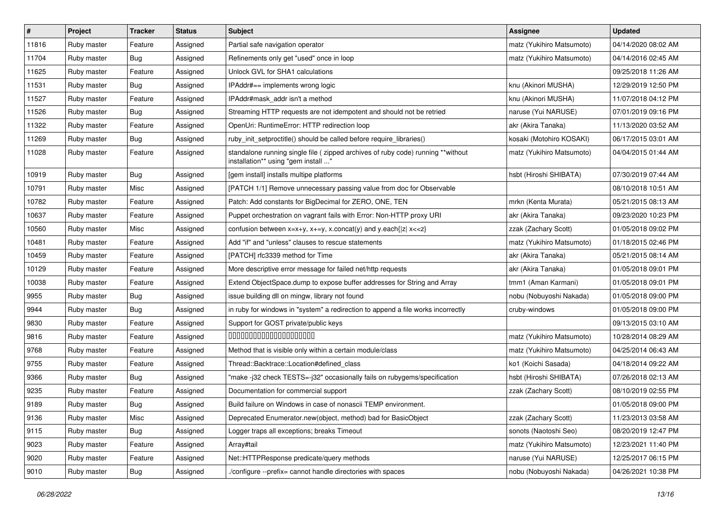| #     | <b>Project</b> | <b>Tracker</b> | <b>Status</b> | <b>Subject</b>                                                                                                          | Assignee                  | <b>Updated</b>      |
|-------|----------------|----------------|---------------|-------------------------------------------------------------------------------------------------------------------------|---------------------------|---------------------|
| 11816 | Ruby master    | Feature        | Assigned      | Partial safe navigation operator                                                                                        | matz (Yukihiro Matsumoto) | 04/14/2020 08:02 AM |
| 11704 | Ruby master    | Bug            | Assigned      | Refinements only get "used" once in loop                                                                                | matz (Yukihiro Matsumoto) | 04/14/2016 02:45 AM |
| 11625 | Ruby master    | Feature        | Assigned      | Unlock GVL for SHA1 calculations                                                                                        |                           | 09/25/2018 11:26 AM |
| 11531 | Ruby master    | Bug            | Assigned      | IPAddr#== implements wrong logic                                                                                        | knu (Akinori MUSHA)       | 12/29/2019 12:50 PM |
| 11527 | Ruby master    | Feature        | Assigned      | IPAddr#mask addr isn't a method                                                                                         | knu (Akinori MUSHA)       | 11/07/2018 04:12 PM |
| 11526 | Ruby master    | Bug            | Assigned      | Streaming HTTP requests are not idempotent and should not be retried                                                    | naruse (Yui NARUSE)       | 07/01/2019 09:16 PM |
| 11322 | Ruby master    | Feature        | Assigned      | OpenUri: RuntimeError: HTTP redirection loop                                                                            | akr (Akira Tanaka)        | 11/13/2020 03:52 AM |
| 11269 | Ruby master    | Bug            | Assigned      | ruby_init_setproctitle() should be called before require_libraries()                                                    | kosaki (Motohiro KOSAKI)  | 06/17/2015 03:01 AM |
| 11028 | Ruby master    | Feature        | Assigned      | standalone running single file ( zipped archives of ruby code) running **without<br>installation** using "gem install " | matz (Yukihiro Matsumoto) | 04/04/2015 01:44 AM |
| 10919 | Ruby master    | <b>Bug</b>     | Assigned      | [gem install] installs multipe platforms                                                                                | hsbt (Hiroshi SHIBATA)    | 07/30/2019 07:44 AM |
| 10791 | Ruby master    | Misc           | Assigned      | [PATCH 1/1] Remove unnecessary passing value from doc for Observable                                                    |                           | 08/10/2018 10:51 AM |
| 10782 | Ruby master    | Feature        | Assigned      | Patch: Add constants for BigDecimal for ZERO, ONE, TEN                                                                  | mrkn (Kenta Murata)       | 05/21/2015 08:13 AM |
| 10637 | Ruby master    | Feature        | Assigned      | Puppet orchestration on vagrant fails with Error: Non-HTTP proxy URI                                                    | akr (Akira Tanaka)        | 09/23/2020 10:23 PM |
| 10560 | Ruby master    | Misc           | Assigned      | confusion between $x=x+y$ , $x+=y$ , x.concat(y) and y.each{ z  $x<}$                                                   | zzak (Zachary Scott)      | 01/05/2018 09:02 PM |
| 10481 | Ruby master    | Feature        | Assigned      | Add "if" and "unless" clauses to rescue statements                                                                      | matz (Yukihiro Matsumoto) | 01/18/2015 02:46 PM |
| 10459 | Ruby master    | Feature        | Assigned      | [PATCH] rfc3339 method for Time                                                                                         | akr (Akira Tanaka)        | 05/21/2015 08:14 AM |
| 10129 | Ruby master    | Feature        | Assigned      | More descriptive error message for failed net/http requests                                                             | akr (Akira Tanaka)        | 01/05/2018 09:01 PM |
| 10038 | Ruby master    | Feature        | Assigned      | Extend ObjectSpace.dump to expose buffer addresses for String and Array                                                 | tmm1 (Aman Karmani)       | 01/05/2018 09:01 PM |
| 9955  | Ruby master    | Bug            | Assigned      | issue building dll on mingw, library not found                                                                          | nobu (Nobuyoshi Nakada)   | 01/05/2018 09:00 PM |
| 9944  | Ruby master    | Bug            | Assigned      | in ruby for windows in "system" a redirection to append a file works incorrectly                                        | cruby-windows             | 01/05/2018 09:00 PM |
| 9830  | Ruby master    | Feature        | Assigned      | Support for GOST private/public keys                                                                                    |                           | 09/13/2015 03:10 AM |
| 9816  | Ruby master    | Feature        | Assigned      | 00000000000000000000                                                                                                    | matz (Yukihiro Matsumoto) | 10/28/2014 08:29 AM |
| 9768  | Ruby master    | Feature        | Assigned      | Method that is visible only within a certain module/class                                                               | matz (Yukihiro Matsumoto) | 04/25/2014 06:43 AM |
| 9755  | Ruby master    | Feature        | Assigned      | Thread::Backtrace::Location#defined_class                                                                               | ko1 (Koichi Sasada)       | 04/18/2014 09:22 AM |
| 9366  | Ruby master    | <b>Bug</b>     | Assigned      | "make -j32 check TESTS=-j32" occasionally fails on rubygems/specification                                               | hsbt (Hiroshi SHIBATA)    | 07/26/2018 02:13 AM |
| 9235  | Ruby master    | Feature        | Assigned      | Documentation for commercial support                                                                                    | zzak (Zachary Scott)      | 08/10/2019 02:55 PM |
| 9189  | Ruby master    | Bug            | Assigned      | Build failure on Windows in case of nonascii TEMP environment.                                                          |                           | 01/05/2018 09:00 PM |
| 9136  | Ruby master    | Misc           | Assigned      | Deprecated Enumerator.new(object, method) bad for BasicObject                                                           | zzak (Zachary Scott)      | 11/23/2013 03:58 AM |
| 9115  | Ruby master    | <b>Bug</b>     | Assigned      | Logger traps all exceptions; breaks Timeout                                                                             | sonots (Naotoshi Seo)     | 08/20/2019 12:47 PM |
| 9023  | Ruby master    | Feature        | Assigned      | Array#tail                                                                                                              | matz (Yukihiro Matsumoto) | 12/23/2021 11:40 PM |
| 9020  | Ruby master    | Feature        | Assigned      | Net::HTTPResponse predicate/query methods                                                                               | naruse (Yui NARUSE)       | 12/25/2017 06:15 PM |
| 9010  | Ruby master    | Bug            | Assigned      | ./configure --prefix= cannot handle directories with spaces                                                             | nobu (Nobuyoshi Nakada)   | 04/26/2021 10:38 PM |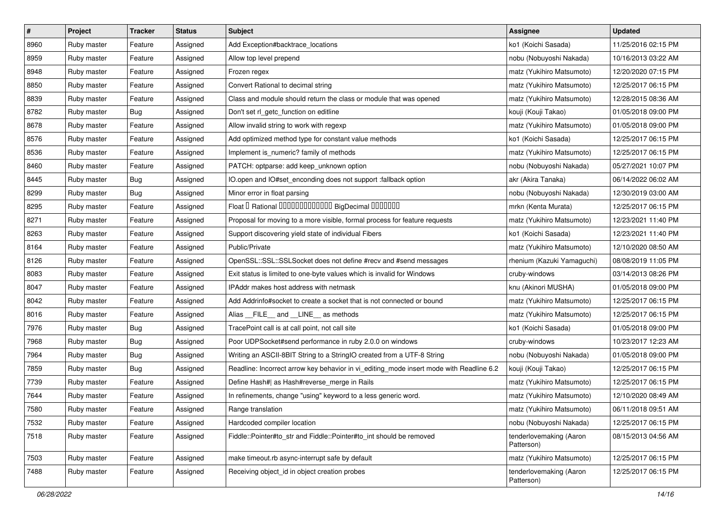| $\vert$ # | Project     | <b>Tracker</b> | <b>Status</b> | Subject                                                                                 | Assignee                              | <b>Updated</b>      |
|-----------|-------------|----------------|---------------|-----------------------------------------------------------------------------------------|---------------------------------------|---------------------|
| 8960      | Ruby master | Feature        | Assigned      | Add Exception#backtrace_locations                                                       | ko1 (Koichi Sasada)                   | 11/25/2016 02:15 PM |
| 8959      | Ruby master | Feature        | Assigned      | Allow top level prepend                                                                 | nobu (Nobuyoshi Nakada)               | 10/16/2013 03:22 AM |
| 8948      | Ruby master | Feature        | Assigned      | Frozen regex                                                                            | matz (Yukihiro Matsumoto)             | 12/20/2020 07:15 PM |
| 8850      | Ruby master | Feature        | Assigned      | Convert Rational to decimal string                                                      | matz (Yukihiro Matsumoto)             | 12/25/2017 06:15 PM |
| 8839      | Ruby master | Feature        | Assigned      | Class and module should return the class or module that was opened                      | matz (Yukihiro Matsumoto)             | 12/28/2015 08:36 AM |
| 8782      | Ruby master | Bug            | Assigned      | Don't set rl_getc_function on editline                                                  | kouji (Kouji Takao)                   | 01/05/2018 09:00 PM |
| 8678      | Ruby master | Feature        | Assigned      | Allow invalid string to work with regexp                                                | matz (Yukihiro Matsumoto)             | 01/05/2018 09:00 PM |
| 8576      | Ruby master | Feature        | Assigned      | Add optimized method type for constant value methods                                    | ko1 (Koichi Sasada)                   | 12/25/2017 06:15 PM |
| 8536      | Ruby master | Feature        | Assigned      | Implement is_numeric? family of methods                                                 | matz (Yukihiro Matsumoto)             | 12/25/2017 06:15 PM |
| 8460      | Ruby master | Feature        | Assigned      | PATCH: optparse: add keep_unknown option                                                | nobu (Nobuyoshi Nakada)               | 05/27/2021 10:07 PM |
| 8445      | Ruby master | Bug            | Assigned      | IO.open and IO#set_enconding does not support :fallback option                          | akr (Akira Tanaka)                    | 06/14/2022 06:02 AM |
| 8299      | Ruby master | Bug            | Assigned      | Minor error in float parsing                                                            | nobu (Nobuyoshi Nakada)               | 12/30/2019 03:00 AM |
| 8295      | Ruby master | Feature        | Assigned      | Float I Rational IIIIIIIIIIIIIIIIIII BigDecimal IIIIIIIIII                              | mrkn (Kenta Murata)                   | 12/25/2017 06:15 PM |
| 8271      | Ruby master | Feature        | Assigned      | Proposal for moving to a more visible, formal process for feature requests              | matz (Yukihiro Matsumoto)             | 12/23/2021 11:40 PM |
| 8263      | Ruby master | Feature        | Assigned      | Support discovering yield state of individual Fibers                                    | ko1 (Koichi Sasada)                   | 12/23/2021 11:40 PM |
| 8164      | Ruby master | Feature        | Assigned      | Public/Private                                                                          | matz (Yukihiro Matsumoto)             | 12/10/2020 08:50 AM |
| 8126      | Ruby master | Feature        | Assigned      | OpenSSL::SSL::SSLSocket does not define #recv and #send messages                        | rhenium (Kazuki Yamaguchi)            | 08/08/2019 11:05 PM |
| 8083      | Ruby master | Feature        | Assigned      | Exit status is limited to one-byte values which is invalid for Windows                  | cruby-windows                         | 03/14/2013 08:26 PM |
| 8047      | Ruby master | Feature        | Assigned      | IPAddr makes host address with netmask                                                  | knu (Akinori MUSHA)                   | 01/05/2018 09:00 PM |
| 8042      | Ruby master | Feature        | Assigned      | Add Addrinfo#socket to create a socket that is not connected or bound                   | matz (Yukihiro Matsumoto)             | 12/25/2017 06:15 PM |
| 8016      | Ruby master | Feature        | Assigned      | Alias __FILE__ and __LINE__ as methods                                                  | matz (Yukihiro Matsumoto)             | 12/25/2017 06:15 PM |
| 7976      | Ruby master | <b>Bug</b>     | Assigned      | TracePoint call is at call point, not call site                                         | ko1 (Koichi Sasada)                   | 01/05/2018 09:00 PM |
| 7968      | Ruby master | Bug            | Assigned      | Poor UDPSocket#send performance in ruby 2.0.0 on windows                                | cruby-windows                         | 10/23/2017 12:23 AM |
| 7964      | Ruby master | Bug            | Assigned      | Writing an ASCII-8BIT String to a StringIO created from a UTF-8 String                  | nobu (Nobuyoshi Nakada)               | 01/05/2018 09:00 PM |
| 7859      | Ruby master | Bug            | Assigned      | Readline: Incorrect arrow key behavior in vi_editing_mode insert mode with Readline 6.2 | kouji (Kouji Takao)                   | 12/25/2017 06:15 PM |
| 7739      | Ruby master | Feature        | Assigned      | Define Hash#  as Hash#reverse_merge in Rails                                            | matz (Yukihiro Matsumoto)             | 12/25/2017 06:15 PM |
| 7644      | Ruby master | Feature        | Assigned      | In refinements, change "using" keyword to a less generic word.                          | matz (Yukihiro Matsumoto)             | 12/10/2020 08:49 AM |
| 7580      | Ruby master | Feature        | Assigned      | Range translation                                                                       | matz (Yukihiro Matsumoto)             | 06/11/2018 09:51 AM |
| 7532      | Ruby master | Feature        | Assigned      | Hardcoded compiler location                                                             | nobu (Nobuyoshi Nakada)               | 12/25/2017 06:15 PM |
| 7518      | Ruby master | Feature        | Assigned      | Fiddle::Pointer#to_str and Fiddle::Pointer#to_int should be removed                     | tenderlovemaking (Aaron<br>Patterson) | 08/15/2013 04:56 AM |
| 7503      | Ruby master | Feature        | Assigned      | make timeout.rb async-interrupt safe by default                                         | matz (Yukihiro Matsumoto)             | 12/25/2017 06:15 PM |
| 7488      | Ruby master | Feature        | Assigned      | Receiving object_id in object creation probes                                           | tenderlovemaking (Aaron<br>Patterson) | 12/25/2017 06:15 PM |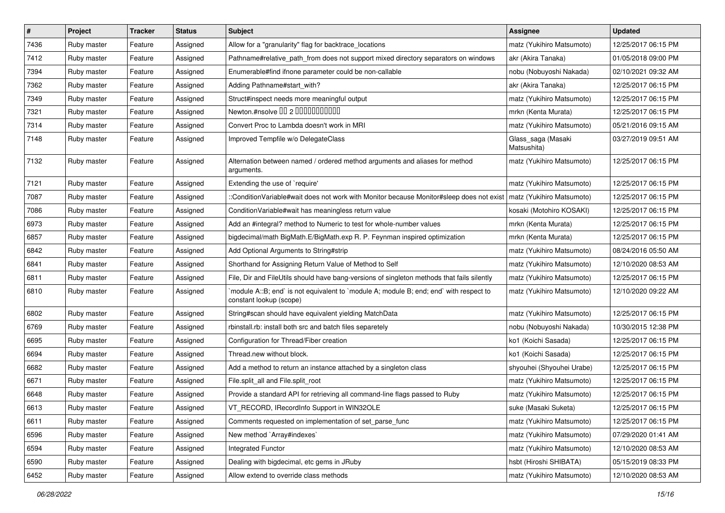| $\sharp$ | Project     | <b>Tracker</b> | <b>Status</b> | <b>Subject</b>                                                                                                       | <b>Assignee</b>                   | <b>Updated</b>      |
|----------|-------------|----------------|---------------|----------------------------------------------------------------------------------------------------------------------|-----------------------------------|---------------------|
| 7436     | Ruby master | Feature        | Assigned      | Allow for a "granularity" flag for backtrace_locations                                                               | matz (Yukihiro Matsumoto)         | 12/25/2017 06:15 PM |
| 7412     | Ruby master | Feature        | Assigned      | Pathname#relative_path_from does not support mixed directory separators on windows                                   | akr (Akira Tanaka)                | 01/05/2018 09:00 PM |
| 7394     | Ruby master | Feature        | Assigned      | Enumerable#find ifnone parameter could be non-callable                                                               | nobu (Nobuyoshi Nakada)           | 02/10/2021 09:32 AM |
| 7362     | Ruby master | Feature        | Assigned      | Adding Pathname#start_with?                                                                                          | akr (Akira Tanaka)                | 12/25/2017 06:15 PM |
| 7349     | Ruby master | Feature        | Assigned      | Struct#inspect needs more meaningful output                                                                          | matz (Yukihiro Matsumoto)         | 12/25/2017 06:15 PM |
| 7321     | Ruby master | Feature        | Assigned      | Newton.#nsolve 00 2 0000000000                                                                                       | mrkn (Kenta Murata)               | 12/25/2017 06:15 PM |
| 7314     | Ruby master | Feature        | Assigned      | Convert Proc to Lambda doesn't work in MRI                                                                           | matz (Yukihiro Matsumoto)         | 05/21/2016 09:15 AM |
| 7148     | Ruby master | Feature        | Assigned      | Improved Tempfile w/o DelegateClass                                                                                  | Glass_saga (Masaki<br>Matsushita) | 03/27/2019 09:51 AM |
| 7132     | Ruby master | Feature        | Assigned      | Alternation between named / ordered method arguments and aliases for method<br>arguments.                            | matz (Yukihiro Matsumoto)         | 12/25/2017 06:15 PM |
| 7121     | Ruby master | Feature        | Assigned      | Extending the use of `require'                                                                                       | matz (Yukihiro Matsumoto)         | 12/25/2017 06:15 PM |
| 7087     | Ruby master | Feature        | Assigned      | ::ConditionVariable#wait does not work with Monitor because Monitor#sleep does not exist   matz (Yukihiro Matsumoto) |                                   | 12/25/2017 06:15 PM |
| 7086     | Ruby master | Feature        | Assigned      | Condition Variable#wait has meaningless return value                                                                 | kosaki (Motohiro KOSAKI)          | 12/25/2017 06:15 PM |
| 6973     | Ruby master | Feature        | Assigned      | Add an #integral? method to Numeric to test for whole-number values                                                  | mrkn (Kenta Murata)               | 12/25/2017 06:15 PM |
| 6857     | Ruby master | Feature        | Assigned      | bigdecimal/math BigMath.E/BigMath.exp R. P. Feynman inspired optimization                                            | mrkn (Kenta Murata)               | 12/25/2017 06:15 PM |
| 6842     | Ruby master | Feature        | Assigned      | Add Optional Arguments to String#strip                                                                               | matz (Yukihiro Matsumoto)         | 08/24/2016 05:50 AM |
| 6841     | Ruby master | Feature        | Assigned      | Shorthand for Assigning Return Value of Method to Self                                                               | matz (Yukihiro Matsumoto)         | 12/10/2020 08:53 AM |
| 6811     | Ruby master | Feature        | Assigned      | File, Dir and FileUtils should have bang-versions of singleton methods that fails silently                           | matz (Yukihiro Matsumoto)         | 12/25/2017 06:15 PM |
| 6810     | Ruby master | Feature        | Assigned      | module A::B; end` is not equivalent to `module A; module B; end; end` with respect to<br>constant lookup (scope)     | matz (Yukihiro Matsumoto)         | 12/10/2020 09:22 AM |
| 6802     | Ruby master | Feature        | Assigned      | String#scan should have equivalent yielding MatchData                                                                | matz (Yukihiro Matsumoto)         | 12/25/2017 06:15 PM |
| 6769     | Ruby master | Feature        | Assigned      | rbinstall.rb: install both src and batch files separetely                                                            | nobu (Nobuyoshi Nakada)           | 10/30/2015 12:38 PM |
| 6695     | Ruby master | Feature        | Assigned      | Configuration for Thread/Fiber creation                                                                              | ko1 (Koichi Sasada)               | 12/25/2017 06:15 PM |
| 6694     | Ruby master | Feature        | Assigned      | Thread.new without block.                                                                                            | ko1 (Koichi Sasada)               | 12/25/2017 06:15 PM |
| 6682     | Ruby master | Feature        | Assigned      | Add a method to return an instance attached by a singleton class                                                     | shyouhei (Shyouhei Urabe)         | 12/25/2017 06:15 PM |
| 6671     | Ruby master | Feature        | Assigned      | File.split_all and File.split_root                                                                                   | matz (Yukihiro Matsumoto)         | 12/25/2017 06:15 PM |
| 6648     | Ruby master | Feature        | Assigned      | Provide a standard API for retrieving all command-line flags passed to Ruby                                          | matz (Yukihiro Matsumoto)         | 12/25/2017 06:15 PM |
| 6613     | Ruby master | Feature        | Assigned      | VT_RECORD, IRecordInfo Support in WIN32OLE                                                                           | suke (Masaki Suketa)              | 12/25/2017 06:15 PM |
| 6611     | Ruby master | Feature        | Assigned      | Comments requested on implementation of set_parse_func                                                               | matz (Yukihiro Matsumoto)         | 12/25/2017 06:15 PM |
| 6596     | Ruby master | Feature        | Assigned      | New method `Array#indexes`                                                                                           | matz (Yukihiro Matsumoto)         | 07/29/2020 01:41 AM |
| 6594     | Ruby master | Feature        | Assigned      | Integrated Functor                                                                                                   | matz (Yukihiro Matsumoto)         | 12/10/2020 08:53 AM |
| 6590     | Ruby master | Feature        | Assigned      | Dealing with bigdecimal, etc gems in JRuby                                                                           | hsbt (Hiroshi SHIBATA)            | 05/15/2019 08:33 PM |
| 6452     | Ruby master | Feature        | Assigned      | Allow extend to override class methods                                                                               | matz (Yukihiro Matsumoto)         | 12/10/2020 08:53 AM |